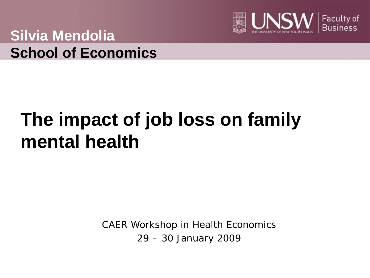

**Silvia Mendolia School of Economics**

# **The impact of job loss on family mental health**

CAER Workshop in Health Economics 29 – 30 January 2009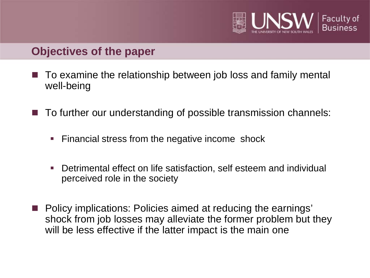

### **Objectives of the paper**

- To examine the relationship between job loss and family mental well-being
- To further our understanding of possible transmission channels:
	- **Financial stress from the negative income shock**
	- Detrimental effect on life satisfaction, self esteem and individual perceived role in the society
- Policy implications: Policies aimed at reducing the earnings' shock from job losses may alleviate the former problem but they will be less effective if the latter impact is the main one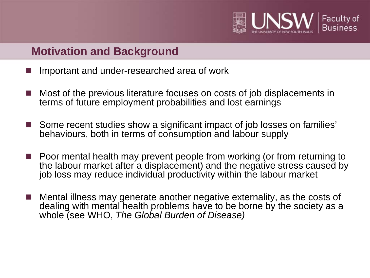

## **Motivation and Background**

- Important and under-researched area of work
- Most of the previous literature focuses on costs of job displacements in terms of future employment probabilities and lost earnings
- Some recent studies show a significant impact of job losses on families' behaviours, both in terms of consumption and labour supply
- Poor mental health may prevent people from working (or from returning to the labour market after a displacement) and the negative stress caused by job loss may reduce individual productivity within the labour market
- Mental illness may generate another negative externality, as the costs of dealing with mental health problems have to be borne by the society as a whole (see WHO, *The Global Burden of Disease)*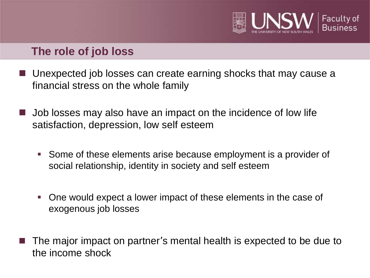

### **The role of job loss**

- Unexpected job losses can create earning shocks that may cause a financial stress on the whole family
- Job losses may also have an impact on the incidence of low life satisfaction, depression, low self esteem
	- Some of these elements arise because employment is a provider of social relationship, identity in society and self esteem
	- One would expect a lower impact of these elements in the case of exogenous job losses
- The major impact on partner's mental health is expected to be due to the income shock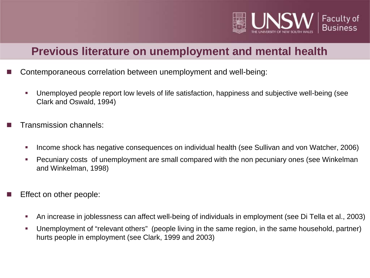

### **Previous literature on unemployment and mental health**

- Contemporaneous correlation between unemployment and well-being:
	- Unemployed people report low levels of life satisfaction, happiness and subjective well-being (see Clark and Oswald, 1994)
- Transmission channels:
	- Income shock has negative consequences on individual health (see Sullivan and von Watcher, 2006)
	- Pecuniary costs of unemployment are small compared with the non pecuniary ones (see Winkelman and Winkelman, 1998)
- Effect on other people:
	- An increase in joblessness can affect well-being of individuals in employment (see Di Tella et al., 2003)
	- Unemployment of "relevant others" (people living in the same region, in the same household, partner) hurts people in employment (see Clark, 1999 and 2003)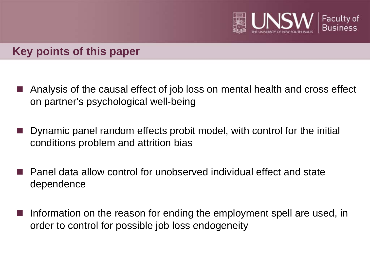

### **Key points of this paper**

- Analysis of the causal effect of job loss on mental health and cross effect on partner's psychological well-being
- Dynamic panel random effects probit model, with control for the initial conditions problem and attrition bias
- Panel data allow control for unobserved individual effect and state dependence
- Information on the reason for ending the employment spell are used, in order to control for possible job loss endogeneity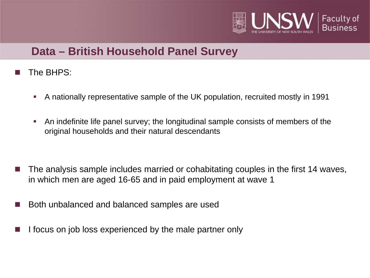

## **Data – British Household Panel Survey**

- The BHPS:
	- A nationally representative sample of the UK population, recruited mostly in 1991
	- An indefinite life panel survey; the longitudinal sample consists of members of the original households and their natural descendants

- The analysis sample includes married or cohabitating couples in the first 14 waves, in which men are aged 16-65 and in paid employment at wave 1
- Both unbalanced and balanced samples are used
- I focus on job loss experienced by the male partner only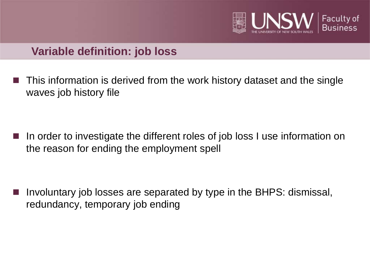

### **Variable definition: job loss**

 This information is derived from the work history dataset and the single waves job history file

 In order to investigate the different roles of job loss I use information on the reason for ending the employment spell

 Involuntary job losses are separated by type in the BHPS: dismissal, redundancy, temporary job ending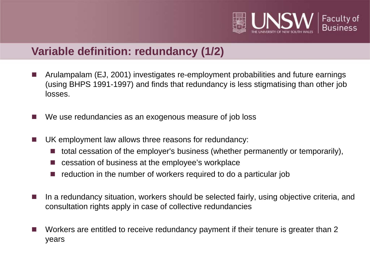

### **Variable definition: redundancy (1/2)**

- Arulampalam (EJ, 2001) investigates re-employment probabilities and future earnings (using BHPS 1991-1997) and finds that redundancy is less stigmatising than other job losses.
- We use redundancies as an exogenous measure of job loss
- UK employment law allows three reasons for redundancy:
	- $\blacksquare$  total cessation of the employer's business (whether permanently or temporarily),
	- cessation of business at the employee's workplace
	- reduction in the number of workers required to do a particular job
- In a redundancy situation, workers should be selected fairly, using objective criteria, and consultation rights apply in case of collective redundancies
- Workers are entitled to receive redundancy payment if their tenure is greater than 2 years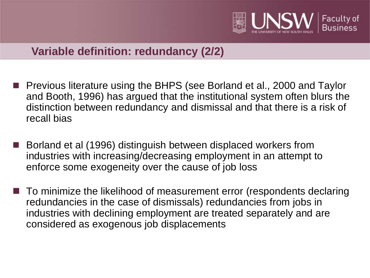

### **Variable definition: redundancy (2/2)**

- Previous literature using the BHPS (see Borland et al., 2000 and Taylor and Booth, 1996) has argued that the institutional system often blurs the distinction between redundancy and dismissal and that there is a risk of recall bias
- Borland et al (1996) distinguish between displaced workers from industries with increasing/decreasing employment in an attempt to enforce some exogeneity over the cause of job loss
- To minimize the likelihood of measurement error (respondents declaring redundancies in the case of dismissals) redundancies from jobs in industries with declining employment are treated separately and are considered as exogenous job displacements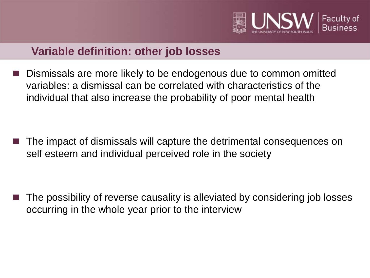

### **Variable definition: other job losses**

 Dismissals are more likely to be endogenous due to common omitted variables: a dismissal can be correlated with characteristics of the individual that also increase the probability of poor mental health

 The impact of dismissals will capture the detrimental consequences on self esteem and individual perceived role in the society

 The possibility of reverse causality is alleviated by considering job losses occurring in the whole year prior to the interview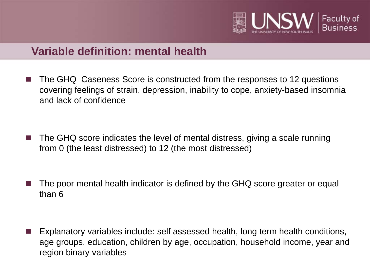

### **Variable definition: mental health**

- The GHQ Caseness Score is constructed from the responses to 12 questions covering feelings of strain, depression, inability to cope, anxiety-based insomnia and lack of confidence
- The GHQ score indicates the level of mental distress, giving a scale running from 0 (the least distressed) to 12 (the most distressed)
- The poor mental health indicator is defined by the GHQ score greater or equal than 6

 Explanatory variables include: self assessed health, long term health conditions, age groups, education, children by age, occupation, household income, year and region binary variables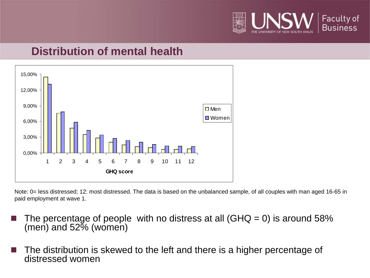

### **Distribution of mental health**



Note: 0= less distressed; 12: most distressed. The data is based on the unbalanced sample, of all couples with man aged 16-65 in paid employment at wave 1.

- The percentage of people with no distress at all (GHQ = 0) is around 58% (men) and 52% (women)
- $\blacksquare$  The distribution is skewed to the left and there is a higher percentage of distressed women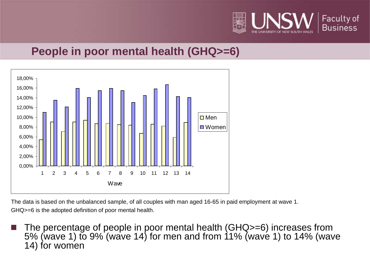

## **People in poor mental health (GHQ>=6)**



The data is based on the unbalanced sample, of all couples with man aged 16-65 in paid employment at wave 1. GHQ>=6 is the adopted definition of poor mental health.

■ The percentage of people in poor mental health (GHQ>=6) increases from 5% (wave 1) to 9% (wave 14) for men and from 11% (wave 1) to 14% (wave 14) for women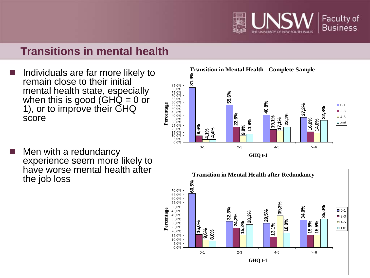

### **Transitions in mental health**

- Individuals are far more likely to remain close to their initial mental health state, especially when this is good (GHQ  $=$  0 or 1), or to improve their GHQ score
- Men with a redundancy experience seem more likely to have worse mental health after the job loss

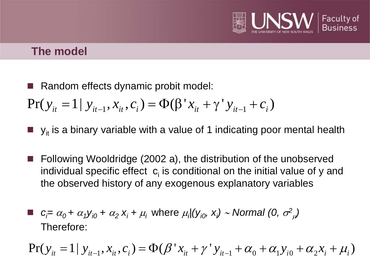

### **The model**

Random effects dynamic probit model:

 $Pr(y_{i} = 1 | y_{i-1}, x_{i}, c_{i}) = \Phi(\beta' x_{i} + \gamma' y_{i-1} + c_{i})$ 

- $y_{it}$  is a binary variable with a value of 1 indicating poor mental health
- Following Wooldridge (2002 a), the distribution of the unobserved individual specific effect  $c<sub>i</sub>$  is conditional on the initial value of y and the observed history of any exogenous explanatory variables

$$
\blacksquare
$$
  $c_i = \alpha_0 + \alpha_1 y_{i0} + \alpha_2 x_i + \mu_i$  where  $\mu_i | (y_{i0}, x_i) \sim \text{Normal} (0, \sigma^2 \mu)$   
Therefore:

$$
Pr(y_{it} = 1 | y_{it-1}, x_{it}, c_i) = \Phi(\beta' x_{it} + \gamma' y_{it-1} + \alpha_0 + \alpha_1 y_{i0} + \alpha_2 x_i + \mu_i)
$$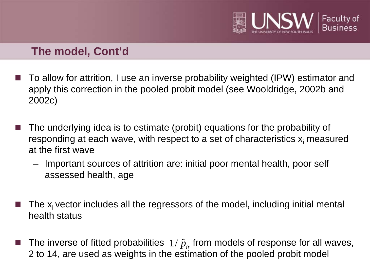

### **The model, Cont'd**

- To allow for attrition, I use an inverse probability weighted (IPW) estimator and apply this correction in the pooled probit model (see Wooldridge, 2002b and 2002c)
- The underlying idea is to estimate (probit) equations for the probability of responding at each wave, with respect to a set of characteristics  $x_i$  measured at the first wave
	- Important sources of attrition are: initial poor mental health, poor self assessed health, age
- The  $x_i$  vector includes all the regressors of the model, including initial mental health status
- **The inverse of fitted probabilities**  $1/\hat{p}_{it}$  from models of response for all waves, 2 to 14, are used as weights in the estimation of the pooled probit model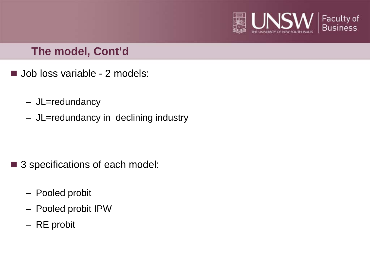

### **The model, Cont'd**

- Job loss variable 2 models:
	- JL=redundancy
	- JL=redundancy in declining industry

- 3 specifications of each model:
	- Pooled probit
	- Pooled probit IPW
	- RE probit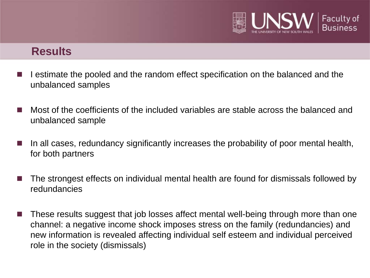

#### **Results**

- I estimate the pooled and the random effect specification on the balanced and the unbalanced samples
- Most of the coefficients of the included variables are stable across the balanced and unbalanced sample
- In all cases, redundancy significantly increases the probability of poor mental health, for both partners
- The strongest effects on individual mental health are found for dismissals followed by redundancies
- These results suggest that job losses affect mental well-being through more than one channel: a negative income shock imposes stress on the family (redundancies) and new information is revealed affecting individual self esteem and individual perceived role in the society (dismissals)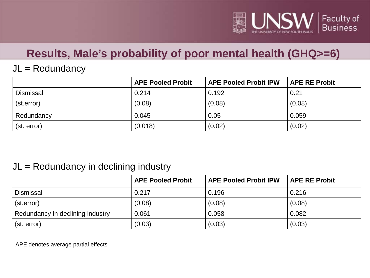

# **Results, Male's probability of poor mental health (GHQ>=6)**

#### $JL = Redundancy$

|                  | <b>APE Pooled Probit</b> | <b>APE Pooled Probit IPW</b> | <b>APE RE Probit</b> |
|------------------|--------------------------|------------------------------|----------------------|
| <b>Dismissal</b> | 0.214                    | 0.192                        | 0.21                 |
| (st.error)       | (0.08)                   | (0.08)                       | (0.08)               |
| Redundancy       | 0.045                    | 0.05                         | 0.059                |
| (st. error)      | (0.018)                  | (0.02)                       | (0.02)               |

#### $JL = Redundancy$  in declining industry

|                                  | <b>APE Pooled Probit</b> | <b>APE Pooled Probit IPW</b> | <b>APE RE Probit</b> |
|----------------------------------|--------------------------|------------------------------|----------------------|
| <b>Dismissal</b>                 | 0.217                    | 0.196                        | 0.216                |
| (st.error)                       | (0.08)                   | (0.08)                       | (0.08)               |
| Redundancy in declining industry | 0.061                    | 0.058                        | 0.082                |
| (st. error)                      | (0.03)                   | (0.03)                       | (0.03)               |

APE denotes average partial effects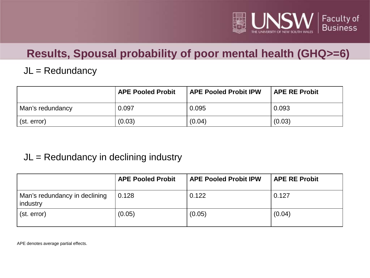

# **Results, Spousal probability of poor mental health (GHQ>=6)**

#### JL = Redundancy

|                  | <b>APE Pooled Probit</b> | <b>APE Pooled Probit IPW</b> | <b>APE RE Probit</b> |
|------------------|--------------------------|------------------------------|----------------------|
| Man's redundancy | 0.097                    | 0.095                        | 0.093                |
| (st. error)      | (0.03)                   | (0.04)                       | (0.03)               |

#### $JL = Redundancy$  in declining industry

|                                           | <b>APE Pooled Probit</b> | <b>APE Pooled Probit IPW</b> | <b>APE RE Probit</b> |
|-------------------------------------------|--------------------------|------------------------------|----------------------|
| Man's redundancy in declining<br>industry | 0.128                    | 0.122                        | 0.127                |
| (st. error)                               | (0.05)                   | (0.05)                       | (0.04)               |

APE denotes average partial effects.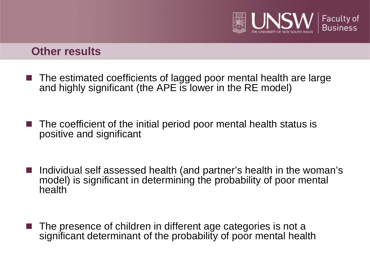

#### **Other results**

- The estimated coefficients of lagged poor mental health are large and highly significant (the APE is lower in the RE model)
- The coefficient of the initial period poor mental health status is positive and significant
- Individual self assessed health (and partner's health in the woman's model) is significant in determining the probability of poor mental health
- The presence of children in different age categories is not a significant determinant of the probability of poor mental health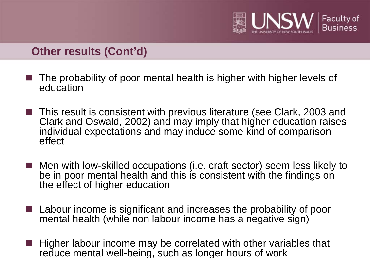

### **Other results (Cont'd)**

- The probability of poor mental health is higher with higher levels of education
- This result is consistent with previous literature (see Clark, 2003 and Clark and Oswald, 2002) and may imply that higher education raises individual expectations and may induce some kind of comparison effect
- Men with low-skilled occupations (i.e. craft sector) seem less likely to be in poor mental health and this is consistent with the findings on the effect of higher education
- $\blacksquare$  Labour income is significant and increases the probability of poor mental health (while non labour income has a negative sign)
- Higher labour income may be correlated with other variables that reduce mental well-being, such as longer hours of work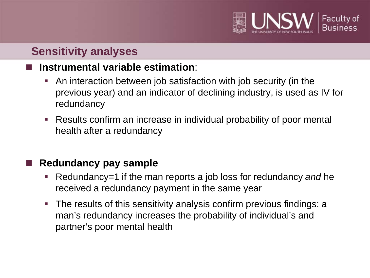

# **Sensitivity analyses**

### **Instrumental variable estimation**:

- An interaction between job satisfaction with job security (in the previous year) and an indicator of declining industry, is used as IV for redundancy
- Results confirm an increase in individual probability of poor mental health after a redundancy

### **Redundancy pay sample**

- Redundancy=1 if the man reports a job loss for redundancy *and* he received a redundancy payment in the same year
- The results of this sensitivity analysis confirm previous findings: a man's redundancy increases the probability of individual's and partner's poor mental health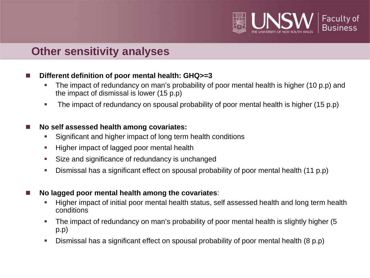

### **Other sensitivity analyses**

#### ■ Different definition of poor mental health: GHQ>=3

- The impact of redundancy on man's probability of poor mental health is higher (10 p.p) and the impact of dismissal is lower (15 p.p)
- The impact of redundancy on spousal probability of poor mental health is higher (15 p.p)

#### ■ No self assessed health among covariates:

- **Significant and higher impact of long term health conditions**
- **Higher impact of lagged poor mental health**
- Size and significance of redundancy is unchanged
- Dismissal has a significant effect on spousal probability of poor mental health (11 p.p)
- No lagged poor mental health among the covariates:
	- Higher impact of initial poor mental health status, self assessed health and long term health conditions
	- The impact of redundancy on man's probability of poor mental health is slightly higher (5 p.p)
	- Dismissal has a significant effect on spousal probability of poor mental health (8 p.p)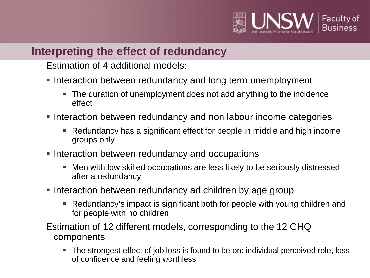

### **Interpreting the effect of redundancy**

Estimation of 4 additional models:

- **Interaction between redundancy and long term unemployment** 
	- The duration of unemployment does not add anything to the incidence effect
- **Interaction between redundancy and non labour income categories** 
	- Redundancy has a significant effect for people in middle and high income groups only
- **Interaction between redundancy and occupations** 
	- Men with low skilled occupations are less likely to be seriously distressed after a redundancy
- Interaction between redundancy ad children by age group
	- Redundancy's impact is significant both for people with young children and for people with no children
- Estimation of 12 different models, corresponding to the 12 GHQ components
	- The strongest effect of job loss is found to be on: individual perceived role, loss of confidence and feeling worthless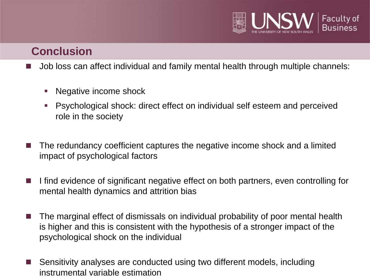

## **Conclusion**

- Job loss can affect individual and family mental health through multiple channels:
	- Negative income shock
	- Psychological shock: direct effect on individual self esteem and perceived role in the society
- The redundancy coefficient captures the negative income shock and a limited impact of psychological factors
- I find evidence of significant negative effect on both partners, even controlling for mental health dynamics and attrition bias
- $\blacksquare$  The marginal effect of dismissals on individual probability of poor mental health is higher and this is consistent with the hypothesis of a stronger impact of the psychological shock on the individual
- Sensitivity analyses are conducted using two different models, including instrumental variable estimation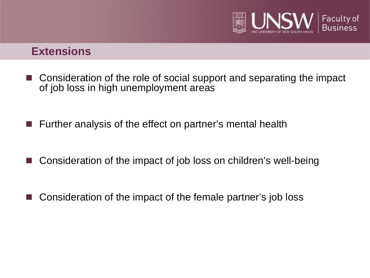

#### **Extensions**

- Consideration of the role of social support and separating the impact of job loss in high unemployment areas
- Further analysis of the effect on partner's mental health
- Consideration of the impact of job loss on children's well-being
- Consideration of the impact of the female partner's job loss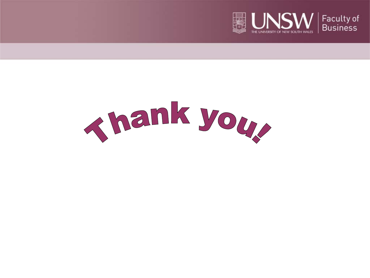

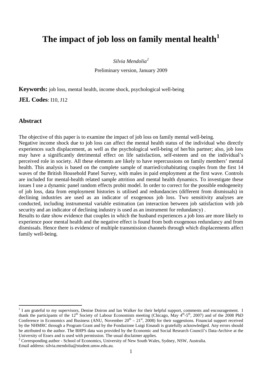#### **The impact of job loss on family mental health[1](#page-29-0)**

*Silvia Mendolia[2](#page-29-1)*

Preliminary version, January 2009

**Keywords:** job loss, mental health, income shock, psychological well-being

**JEL Codes**: I10, J12

#### **Abstract**

The objective of this paper is to examine the impact of job loss on family mental well-being.

Negative income shock due to job loss can affect the mental health status of the individual who directly experiences such displacement, as well as the psychological well-being of her/his partner; also, job loss may have a significantly detrimental effect on life satisfaction, self-esteem and on the individual's perceived role in society. All these elements are likely to have repercussions on family members' mental health. This analysis is based on the complete sample of married/cohabitating couples from the first 14 waves of the British Household Panel Survey, with males in paid employment at the first wave. Controls are included for mental-health related sample attrition and mental health dynamics. To investigate these issues I use a dynamic panel random effects probit model. In order to correct for the possible endogeneity of job loss, data from employment histories is utilised and redundancies (different from dismissals) in declining industries are used as an indicator of exogenous job loss. Two sensitivity analyses are conducted, including instrumental variable estimation (an interaction between job satisfaction with job security and an indicator of declining industry is used as an instrument for redundancy) .

Results to date show evidence that couples in which the husband experiences a job loss are more likely to experience poor mental health and the negative effect is found from both exogenous redundancy and from dismissals. Hence there is evidence of multiple transmission channels through which displacements affect family well-being.

<span id="page-29-0"></span> $<sup>1</sup>$  I am grateful to my supervisors, Denise Doiron and Ian Walker for their helpful support, comments and encouragement. I</sup> thank the participants of the  $12^{th}$  Society of Labour Economists meeting (Chicago, May  $4^{th}$ -5<sup>th</sup>, 2007) and of the 2008 PhD Thank the participants of the 12 Society of Labour Leonomics meeting (Sinewgo, 1997) (1997)  $\frac{1}{2}$ . Conference in Economics and Business (ANU, November  $20^{\text{th}} - 21^{\text{st}}$ , 2008) for their suggestions. Financial suppo by the NHMRC through a Program Grant and by the Fondazione Luigi Einaudi is gratefully acknowledged. Any errors should be attributed to the author. The BHPS data was provided by the Economic and Social Research Council's Data-Archive at the University of Essex and is used with permission. The usual disclaimer applies.

<span id="page-29-1"></span><sup>&</sup>lt;sup>2</sup> Corresponding author - School of Economics, University of New South Wales, Sydney, NSW, Australia.

Email address: silvia.mendolia@student.unsw.edu.au.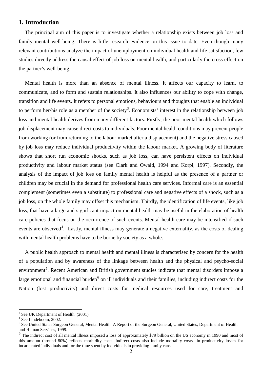#### **1. Introduction**

The principal aim of this paper is to investigate whether a relationship exists between job loss and family mental well-being. There is little research evidence on this issue to date. Even though many relevant contributions analyze the impact of unemployment on individual health and life satisfaction, few studies directly address the causal effect of job loss on mental health, and particularly the cross effect on the partner's well-being.

Mental health is more than an absence of mental illness. It affects our capacity to learn, to communicate, and to form and sustain relationships. It also influences our ability to cope with change, transition and life events. It refers to personal emotions, behaviours and thoughts that enable an individual to perform her/his role as a member of the society<sup>[3](#page-30-0)</sup>. Economists' interest in the relationship between job loss and mental health derives from many different factors. Firstly, the poor mental health which follows job displacement may cause direct costs to individuals. Poor mental health conditions may prevent people from working (or from returning to the labour market after a displacement) and the negative stress caused by job loss may reduce individual productivity within the labour market. A growing body of literature shows that short run economic shocks, such as job loss, can have persistent effects on individual productivity and labour market status (see Clark and Owald, 1994 and Korpi, 1997). Secondly, the analysis of the impact of job loss on family mental health is helpful as the presence of a partner or children may be crucial in the demand for professional health care services. Informal care is an essential complement (sometimes even a substitute) to professional care and negative effects of a shock, such as a job loss, on the whole family may offset this mechanism. Thirdly, the identification of life events, like job loss, that have a large and significant impact on mental health may be useful in the elaboration of health care policies that focus on the occurrence of such events. Mental health care may be intensified if such events are observed<sup>[4](#page-30-1)</sup>. Lastly, mental illness may generate a negative externality, as the costs of dealing with mental health problems have to be borne by society as a whole.

A public health approach to mental health and mental illness is characterised by concern for the health of a population and by awareness of the linkage between health and the physical and psycho-social environment<sup>[5](#page-30-2)</sup>. Recent American and British government studies indicate that mental disorders impose a large emotional and financial burden<sup>[6](#page-30-3)</sup> on ill individuals and their families, including indirect costs for the Nation (lost productivity) and direct costs for medical resources used for care, treatment and

<span id="page-30-0"></span> $3$  See UK Department of Health (2001)

<span id="page-30-1"></span><sup>&</sup>lt;sup>4</sup> See Lindeboom, 2002.

<span id="page-30-2"></span><sup>&</sup>lt;sup>5</sup> See United States Surgeon General, Mental Health: A Report of the Surgeon General, United States, Department of Health and Human Services, 1999.

<span id="page-30-3"></span><sup>&</sup>lt;sup>6</sup> The indirect cost of all mental illness imposed a loss of approximately \$79 billion on the US economy in 1990 and most of this amount (around 80%) reflects morbidity costs. Indirect costs also include mortality costs in productivity losses for incarcerated individuals and for the time spent by individuals in providing family care.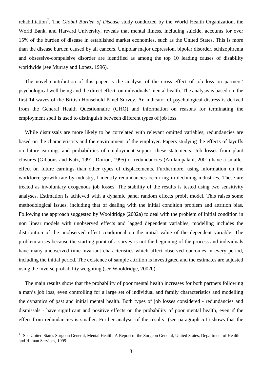rehabilitation<sup>[7](#page-31-0)</sup>. The *Global Burden of Disease* study conducted by the World Health Organization, the World Bank, and Harvard University, reveals that mental illness, including suicide, accounts for over 15% of the burden of disease in established market economies, such as the United States. This is more than the disease burden caused by all cancers. Unipolar major depression, bipolar disorder, schizophrenia and obsessive-compulsive disorder are identified as among the top 10 leading causes of disability worldwide (see Murray and Lopez, 1996).

The novel contribution of this paper is the analysis of the cross effect of job loss on partners' psychological well-being and the direct effect on individuals' mental health. The analysis is based on the first 14 waves of the British Household Panel Survey. An indicator of psychological distress is derived from the General Health Questionnaire (GHQ) and information on reasons for terminating the employment spell is used to distinguish between different types of job loss.

While dismissals are more likely to be correlated with relevant omitted variables, redundancies are based on the characteristics and the environment of the employer. Papers studying the effects of layoffs on future earnings and probabilities of employment support these statements. Job losses from plant closures (Gibbons and Katz, 1991; Doiron, 1995) or redundancies (Arulampalam, 2001) have a smaller effect on future earnings than other types of displacements. Furthermore, using information on the workforce growth rate by industry, I identify redundancies occurring in declining industries. These are treated as involuntary exogenous job losses. The stability of the results is tested using two sensitivity analyses. Estimation is achieved with a dynamic panel random effects probit model. This raises some methodological issues, including that of dealing with the initial condition problem and attrition bias. Following the approach suggested by Wooldridge (2002a) to deal with the problem of initial condition in non linear models with unobserved effects and lagged dependent variables, modelling includes the distribution of the unobserved effect conditional on the initial value of the dependent variable. The problem arises because the starting point of a survey is not the beginning of the process and individuals have many unobserved time-invariant characteristics which affect observed outcomes in every period, including the initial period. The existence of sample attrition is investigated and the estimates are adjusted using the inverse probability weighting (see Wooldridge, 2002b).

The main results show that the probability of poor mental health increases for both partners following a man's job loss, even controlling for a large set of individual and family characteristics and modelling the dynamics of past and initial mental health. Both types of job losses considered - redundancies and dismissals - have significant and positive effects on the probability of poor mental health, even if the effect from redundancies is smaller. Further analysis of the results (see paragraph 5.1) shows that the

 $\overline{a}$ 

<span id="page-31-0"></span><sup>7</sup> See United States Surgeon General, Mental Health: A Report of the Surgeon General, United States, Department of Health and Human Services, 1999.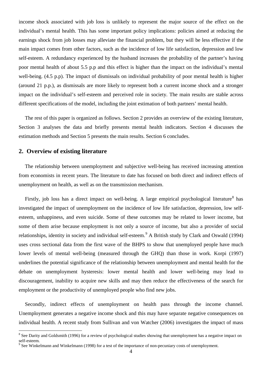income shock associated with job loss is unlikely to represent the major source of the effect on the individual's mental health. This has some important policy implications: policies aimed at reducing the earnings shock from job losses may alleviate the financial problem, but they will be less effective if the main impact comes from other factors, such as the incidence of low life satisfaction, depression and low self-esteem. A redundancy experienced by the husband increases the probability of the partner's having poor mental health of about 5.5 p.p and this effect is higher than the impact on the individual's mental well-being. (4.5 p.p). The impact of dismissals on individual probability of poor mental health is higher (around 21 p.p.), as dismissals are more likely to represent both a current income shock and a stronger impact on the individual's self-esteem and perceived role in society. The main results are stable across different specifications of the model, including the joint estimation of both partners' mental health.

The rest of this paper is organized as follows. Section 2 provides an overview of the existing literature, Section 3 analyses the data and briefly presents mental health indicators. Section 4 discusses the estimation methods and Section 5 presents the main results. Section 6 concludes.

#### **2. Overview of existing literature**

The relationship between unemployment and subjective well-being has received increasing attention from economists in recent years. The literature to date has focused on both direct and indirect effects of unemployment on health, as well as on the transmission mechanism.

Firstly, job loss has a direct impact on well-being. A large empirical psychological literature<sup>[8](#page-32-0)</sup> has investigated the impact of unemployment on the incidence of low life satisfaction, depression, low selfesteem, unhappiness, and even suicide. Some of these outcomes may be related to lower income, but some of them arise because employment is not only a source of income, but also a provider of social relationships, identity in society and individual self-esteem.<sup>[9](#page-32-1)</sup> A British study by Clark and Oswald (1994) uses cross sectional data from the first wave of the BHPS to show that unemployed people have much lower levels of mental well-being (measured through the GHQ) than those in work. Korpi (1997) underlines the potential significance of the relationship between unemployment and mental health for the debate on unemployment hysteresis: lower mental health and lower well-being may lead to discouragement, inability to acquire new skills and may then reduce the effectiveness of the search for employment or the productivity of unemployed people who find new jobs.

Secondly, indirect effects of unemployment on health pass through the income channel. Unemployment generates a negative income shock and this may have separate negative consequences on individual health. A recent study from Sullivan and von Watcher (2006) investigates the impact of mass

<span id="page-32-0"></span><sup>&</sup>lt;sup>8</sup> See Darity and Goldsmith (1996) for a review of psychological studies showing that unemployment has a negative impact on self-esteem.<br><sup>9</sup> See Winkelmann and Winkelmann (1998) for a test of the importance of non-pecuniary costs of unemployment.

<span id="page-32-1"></span>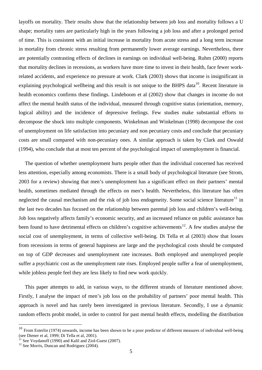layoffs on mortality. Their results show that the relationship between job loss and mortality follows a U shape; mortality rates are particularly high in the years following a job loss and after a prolonged period of time. This is consistent with an initial increase in mortality from acute stress and a long term increase in mortality from chronic stress resulting from permanently lower average earnings. Nevertheless, there are potentially contrasting effects of declines in earnings on individual well-being. Ruhm (2000) reports that mortality declines in recessions, as workers have more time to invest in their health, face fewer workrelated accidents, and experience no pressure at work. Clark (2003) shows that income is insignificant in explaining psychological wellbeing and this result is not unique to the BHPS data<sup>[10](#page-33-0)</sup>. Recent literature in health economics confirms these findings. Lindeboom et al (2002) show that changes in income do not affect the mental health status of the individual, measured through cognitive status (orientation, memory, logical ability) and the incidence of depressive feelings. Few studies make substantial efforts to decompose the shock into multiple components. Winkelman and Winkelman (1998) decompose the cost of unemployment on life satisfaction into pecuniary and non pecuniary costs and conclude that pecuniary costs are small compared with non-pecuniary ones. A similar approach is taken by Clark and Oswald (1994), who conclude that at most ten percent of the psychological impact of unemployment is financial.

The question of whether unemployment hurts people other than the individual concerned has received less attention, especially among economists. There is a small body of psychological literature (see Strom, 2003 for a review) showing that men's unemployment has a significant effect on their partners' mental health, sometimes mediated through the effects on men's health. Nevertheless, this literature has often neglected the causal mechanism and the risk of job loss endogeneity. Some social science literature<sup>[11](#page-33-1)</sup> in the last two decades has focused on the relationship between parental job loss and children's well-being. Job loss negatively affects family's economic security, and an increased reliance on public assistance has been found to have detrimental effects on children's cognitive achievements<sup>[12](#page-33-2)</sup>. A few studies analyse the social cost of unemployment, in terms of collective well-being. Di Tella et al (2003) show that losses from recessions in terms of general happiness are large and the psychological costs should be computed on top of GDP decreases and unemployment rate increases. Both employed and unemployed people suffer a psychiatric cost as the unemployment rate rises. Employed people suffer a fear of unemployment, while jobless people feel they are less likely to find new work quickly.

This paper attempts to add, in various ways, to the different strands of literature mentioned above. Firstly, I analyse the impact of men's job loss on the probability of partners' poor mental health. This approach is novel and has rarely been investigated in previous literature. Secondly, I use a dynamic random effects probit model, in order to control for past mental health effects, modelling the distribution

<span id="page-33-0"></span> $10$  From Esterlin (1974) onwards, income has been shown to be a poor predictor of different measures of individual well-being (see Diener et al, 1999; Di Tella et al, 2001).

<span id="page-33-1"></span><sup>&</sup>lt;sup>11</sup> See Voydanoff (1990) and Kalil and Ziol-Guest (2007).<br><sup>12</sup> See Morris, Duncan and Rodriguez (2004).

<span id="page-33-2"></span>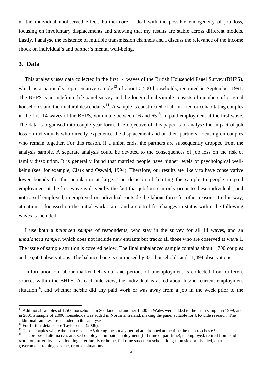of the individual unobserved effect. Furthermore, I deal with the possible endogeneity of job loss, focusing on involuntary displacements and showing that my results are stable across different models. Lastly, I analyse the existence of multiple transmission channels and I discuss the relevance of the income shock on individual's and partner's mental well-being.

#### **3. Data**

This analysis uses data collected in the first 14 waves of the British Household Panel Survey (BHPS), which is a nationally representative sample<sup>[13](#page-34-0)</sup> of about 5,500 households, recruited in September 1991. The BHPS is an indefinite life panel survey and the longitudinal sample consists of members of original households and their natural descendants<sup>[14](#page-34-1)</sup>. A sample is constructed of all married or cohabitating couples in the first 14 waves of the BHPS, with male between 16 and  $65<sup>15</sup>$  $65<sup>15</sup>$  $65<sup>15</sup>$ , in paid employment at the first wave. The data is organised into couple-year form. The objective of this paper is to analyse the impact of job loss on individuals who directly experience the displacement and on their partners, focusing on couples who remain together. For this reason, if a union ends, the partners are subsequently dropped from the analysis sample. A separate analysis could be devoted to the consequences of job loss on the risk of family dissolution. It is generally found that married people have higher levels of psychological wellbeing (see, for example, Clark and Oswald, 1994). Therefore, our results are likely to have conservative lower bounds for the population at large. The decision of limiting the sample to people in paid employment at the first wave is driven by the fact that job loss can only occur to these individuals, and not to self employed, unemployed or individuals outside the labour force for other reasons. In this way, attention is focussed on the initial work status and a control for changes in status within the following waves is included.

I use both a *balanced sample* of respondents, who stay in the survey for all 14 waves, and an *unbalanced sample*, which does not include new entrants but tracks all those who are observed at wave 1. The issue of sample attrition is covered below. The final unbalanced sample contains about 1,700 couples and 16,600 observations. The balanced one is composed by 821 households and 11,494 observations.

Information on labour market behaviour and periods of unemployment is collected from different sources within the BHPS. At each interview, the individual is asked about his/her current employment situation<sup>[16](#page-34-3)</sup>, and whether he/she did any paid work or was away from a job in the week prior to the

<span id="page-34-0"></span><sup>&</sup>lt;sup>13</sup> Additional samples of 1,500 households in Scotland and another 1,500 in Wales were added to the main sample in 1999, and in 2001 a sample of 2,000 households was added in Northern Ireland, making the panel suitable for UK-wide research. The additional samples are included in this analysis.<br> $14$  For further details, see Taylor et al. (2006).

<span id="page-34-3"></span>

<span id="page-34-2"></span><span id="page-34-1"></span><sup>&</sup>lt;sup>15</sup> Those couples where the man reaches 65 during the survey period are dropped at the time the man reaches 65.<br><sup>16</sup> The proposed alternatives are: self employed, in-paid employment (full time or part time), unemployed, r work, on maternity leave, looking after family or home, full time student/at school, long-term sick or disabled, on a government training scheme, or other situations.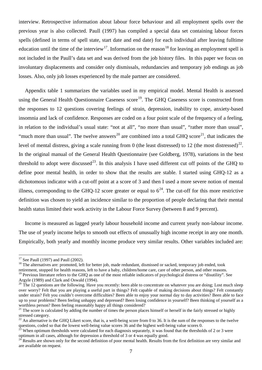interview. Retrospective information about labour force behaviour and all employment spells over the previous year is also collected. Paull (1997) has compiled a special data set containing labour forces spells (defined in terms of spell state, start date and end date) for each individual after leaving fulltime education until the time of the interview<sup>[17](#page-35-0)</sup>. Information on the reason<sup>[18](#page-35-1)</sup> for leaving an employment spell is not included in the Paull's data set and was derived from the job history files. In this paper we focus on involuntary displacements and consider only dismissals, redundancies and temporary job endings as job losses. Also, only job losses experienced by the male partner are considered.

Appendix table 1 summarizes the variables used in my empirical model. Mental Health is assessed using the General Health Questionnaire Caseness score<sup>[19](#page-35-2)</sup>. The GHQ Caseness score is constructed from the responses to 12 questions covering feelings of strain, depression, inability to cope, anxiety-based insomnia and lack of confidence. Responses are coded on a four point scale of the frequency of a feeling, in relation to the individual's usual state: "not at all", "no more than usual", "rather more than usual", "much more than usual". The twelve answers<sup>[20](#page-35-3)</sup> are combined into a total GHQ score<sup>[21](#page-35-4)</sup>, that indicates the level of mental distress, giving a scale running from 0 (the least distressed) to 12 (the most distressed)<sup>22</sup>. In the original manual of the General Health Questionnaire (see Goldberg, 1978), variations in the best threshold to adopt were discussed<sup>23</sup>. In this analysis I have used different cut off points of the GHQ to define poor mental health, in order to show that the results are stable. I started using GHQ-12 as a dichotomous indicator with a cut-off point at a score of 3 and then I used a more severe notion of mental illness, corresponding to the GHQ-12 score greater or equal to  $6^{24}$  $6^{24}$  $6^{24}$ . The cut-off for this more restrictive definition was chosen to yield an incidence similar to the proportion of people declaring that their mental health status limited their work activity in the Labour Force Survey (between 8 and 9 percent).

Income is measured as lagged yearly labour household income and current yearly non-labour income. The use of yearly income helps to smooth out effects of unusually high income receipt in any one month. Empirically, both yearly and monthly income produce very similar results. Other variables included are:

<span id="page-35-1"></span><span id="page-35-0"></span><sup>17</sup> See Paull (1997) and Paull (2002).<br><sup>18</sup> The alternatives are: promoted, left for better job, made redundant, dismissed or sacked, temporary job ended, took retirement, stopped for health reasons, left to have a baby, children/home care, care of other person, and other reasons.

<span id="page-35-2"></span><sup>&</sup>lt;sup>19</sup> Previous literature refers to the GHQ as one of the most reliable indicators of psychological distress or "disutility". See Argyle (1989) and Clark and Oswald (1994).<br><sup>20</sup> The 12 questions are the following. Have you recently: been able to concentrate on whatever you are doing; Lost much sleep

<span id="page-35-3"></span>over worry? Felt that you are playing a useful part in things? Felt capable of making decisions about things? Felt constantly under strain? Felt you couldn't overcome difficulties? Been able to enjoy your normal day to day activities? Been able to face up to your problems? Been feeling unhappy and depressed? Been losing confidence in yourself? Been thinking of yourself as a worthless person? Been feeling reasonably happy all things considered?

<span id="page-35-4"></span><sup>&</sup>lt;sup>21</sup> The score is calculated by adding the number of times the person places himself or herself in the fairly stressed or highly stressed category.<br><sup>22</sup> An alternative is the GHQ Likert score, that is, a well-being score from 0 to 36. It is the sum of the responses to the twelve

<span id="page-35-6"></span><span id="page-35-5"></span>questions, coded so that the lowest well-being value scores 36 and the highest well-being value scores 0.<br><sup>23</sup> When optimum thresholds were calculated for each diagnosis separately, it was found that the thresholds of 2 or

<span id="page-35-7"></span> $^{24}$  Results are shown only for the second definition of poor mental health. Results from the first definition are very similar and are available on request.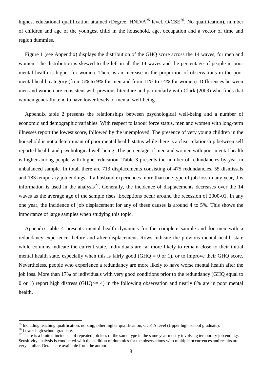highest educational qualification attained (Degree,  $HND/A^{25}$  $HND/A^{25}$  $HND/A^{25}$  level, O/CSE<sup>[26](#page-36-1)</sup>, No qualification), number of children and age of the youngest child in the household, age, occupation and a vector of time and region dummies.

Figure 1 (see Appendix) displays the distribution of the GHQ score across the 14 waves, for men and women. The distribution is skewed to the left in all the 14 waves and the percentage of people in poor mental health is higher for women. There is an increase in the proportion of observations in the poor mental health category (from 5% to 9% for men and from 11% to 14% for women). Differences between men and women are consistent with previous literature and particularly with Clark (2003) who finds that women generally tend to have lower levels of mental well-being.

Appendix table 2 presents the relationships between psychological well-being and a number of economic and demographic variables. With respect to labour force status, men and women with long-term illnesses report the lowest score, followed by the unemployed. The presence of very young children in the household is not a determinant of poor mental health status while there is a clear relationship between self reported health and psychological well-being. The percentage of men and women with poor mental health is higher among people with higher education. Table 3 presents the number of redundancies by year in unbalanced sample. In total, there are 713 displacements consisting of 475 redundancies, 55 dismissals and 183 temporary job endings. If a husband experiences more than one type of job loss in any year, this information is used in the analysis<sup>[27](#page-36-2)</sup>. Generally, the incidence of displacements decreases over the  $14$ waves as the average age of the sample rises. Exceptions occur around the recession of 2000-01. In any one year, the incidence of job displacement for any of these causes is around 4 to 5%. This shows the importance of large samples when studying this topic.

Appendix table 4 presents mental health dynamics for the complete sample and for men with a redundancy experience, before and after displacement. Rows indicate the previous mental health state while columns indicate the current state. Individuals are far more likely to remain close to their initial mental health state, especially when this is fairly good (GHQ  $= 0$  or 1), or to improve their GHQ score. Nevertheless, people who experience a redundancy are more likely to have worse mental health after the job loss. More than 17% of individuals with very good conditions prior to the redundancy (GHQ equal to 0 or 1) report high distress (GHQ>= 4) in the following observation and nearly 8% are in poor mental health.

<span id="page-36-2"></span><span id="page-36-1"></span>

<span id="page-36-0"></span><sup>&</sup>lt;sup>25</sup> Including teaching qualification, nursing, other higher qualification, GCE A level (Upper high school graduate).<br><sup>26</sup> Lower high school graduate.<br><sup>27</sup> There is a limited incidence of repeated job loss of the same typ Sensitivity analysis is conducted with the addition of dummies for the observations with multiple occurrences and results are very similar. Details are available from the author.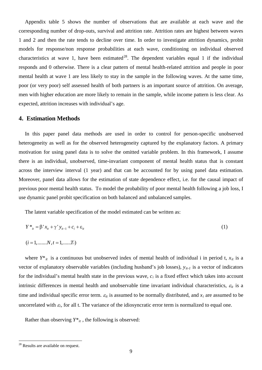Appendix table 5 shows the number of observations that are available at each wave and the corresponding number of drop-outs, survival and attrition rate. Attrition rates are highest between waves 1 and 2 and then the rate tends to decline over time. In order to investigate attrition dynamics, probit models for response/non response probabilities at each wave, conditioning on individual observed characteristics at wave 1, have been estimated<sup>[28](#page-37-0)</sup>. The dependent variables equal 1 if the individual responds and 0 otherwise. There is a clear pattern of mental health-related attrition and people in poor mental health at wave 1 are less likely to stay in the sample in the following waves. At the same time, poor (or very poor) self assessed health of both partners is an important source of attrition. On average, men with higher education are more likely to remain in the sample, while income pattern is less clear. As expected, attrition increases with individual's age.

#### **4. Estimation Methods**

In this paper panel data methods are used in order to control for person-specific unobserved heterogeneity as well as for the observed heterogeneity captured by the explanatory factors. A primary motivation for using panel data is to solve the omitted variable problem. In this framework, I assume there is an individual, unobserved, time-invariant component of mental health status that is constant across the interview interval (1 year) and that can be accounted for by using panel data estimation. Moreover, panel data allows for the estimation of state dependence effect, i.e. for the causal impact of previous poor mental health status. To model the probability of poor mental health following a job loss, I use dynamic panel probit specification on both balanced and unbalanced samples.

The latent variable specification of the model estimated can be written as:

$$
Y^*_{ii} = \beta' x_{ii} + \gamma' y_{i} + c_i + \varepsilon_{ii}
$$
 (1)

$$
(i = 1, \dots, N, t = 1, \dots, T_i)
$$

where  $Y^*_{it}$  is a continuous but unobserved index of mental health of individual i in period t,  $x_{it}$  is a vector of explanatory observable variables (including husband's job losses), *yit-1* is a vector of indicators for the individual's mental health state in the previous wave,  $c_i$  is a fixed effect which takes into account intrinsic differences in mental health and unobservable time invariant individual characteristics,  $\varepsilon_{it}$  is a time and individual specific error term.  $\varepsilon_{it}$  is assumed to be normally distributed, and  $x_i$  are assumed to be uncorrelated with  $\varepsilon_i$ , for all t. The variance of the idiosyncratic error term is normalized to equal one.

Rather than observing  $Y^*$ <sub>it</sub>, the following is observed:

<span id="page-37-0"></span><sup>&</sup>lt;sup>28</sup> Results are available on request.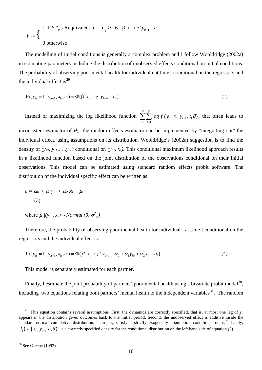$$
Y_{it} = \begin{cases} 1 \text{ if } Y *_{it} \ge 6 \text{ equivalent to } -\varepsilon_{it} \ge -6 + \beta' x_{it} + \gamma' y_{it-1} + c_{it} \\ 0 \text{ otherwise} \end{cases}
$$

The modelling of initial conditions is generally a complex problem and I follow Wooldridge (2002a) in estimating parameters including the distribution of unobserved effects conditional on initial conditions. The probability of observing poor mental health for individual i at time t conditional on the regressors and the individual effect is<sup>[29](#page-38-0)</sup>:

$$
Pr(y_{it} = 1 | y_{it-1}, x_{it}, c_i) = \Phi(\beta' x_{it} + \gamma' y_{it-1} + c_i)
$$
\n(2)

Instead of maximizing the log likelihood function  $\sum \sum \log f_i(y_i | x_i, y_{i-1})$  $-1$   $t=1$  $\log f_t(y_t | x_t, y_{t-1}, c, \theta)$ *N T*  $t \vee t \vdash \lambda_t, y_t$ *i t*  $f_t(y_t | x_t, y_{t-1}, c, \theta)$  $\sum_{i=1}^{\infty} \sum_{t=1}^{\infty} \log f_t(y_t | x_t, y_{t-1}, c, \theta)$ , that often leads to

inconsistent estimator of  $\theta_0$ , the random effects estimator can be implemented by "integrating out" the individual effect, using assumptions on its distribution. Wooldridge's (2002a) suggestion is to find the density of  $(y_{i0}, y_{i1},...,y_{iT})$  conditional on  $(y_{i0}, x_i)$ . This conditional maximum likelihood approach results in a likelihood function based on the joint distribution of the observations conditional on their initial observations. This model can be estimated using standard random effects probit software. The distribution of the individual specific effect can be written as:

$$
c_i = \alpha_0 + \alpha_1 y_{i0} + \alpha_2 x_i + \mu_i
$$
  
(3)

where  $\mu_i/(y_{i0}, x_i) \sim Normal(0, \sigma^2_{\mu})$ 

Therefore, the probability of observing poor mental health for individual i at time t conditional on the regressors and the individual effect is:

$$
Pr(y_{it} = 1 | y_{it-1}, x_{it}, c_i) = \Phi(\beta' x_{it} + \gamma' y_{it-1} + \alpha_0 + \alpha_1 y_{i0} + \alpha_2 x_i + \mu_i)
$$
\n(4)

This model is separately estimated for each partner.

Finally, I estimate the joint probability of partners' poor mental health using a bivariate probit model<sup>30</sup>, including two equations relating both partners' mental health to the independent variables<sup>[31](#page-38-2)</sup>. The random

<span id="page-38-2"></span><span id="page-38-1"></span><span id="page-38-0"></span><sup>&</sup>lt;sup>29</sup> This equation contains several assumptions. First, the dynamics are correctly specified, that is, at most one lag of  $y_{it}$ appears in the distribution given outcomes back to the initial period. Second, the unobserved effect is additive inside the standard normal cumulative distribution. Third,  $x_{it}$  satisfy a strictly exogeneity assumption conditional on  $c_i^{29}$ . Lastly,  $f_t(y_t | x_t, y_{t-1}, c, \theta)$  is a correctly specified density for the conditional distribution on the left hand side of equation (2).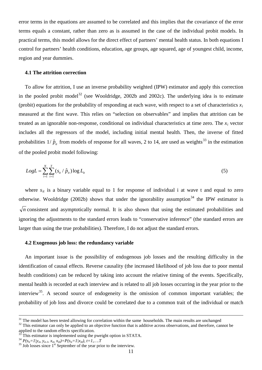error terms in the equations are assumed to be correlated and this implies that the covariance of the error terms equals a constant, rather than zero as is assumed in the case of the individual probit models. In practical terms, this model allows for the direct effect of partners' mental health status. In both equations I control for partners' health conditions, education, age groups, age squared, age of youngest child, income, region and year dummies.

#### **4.1 The attrition correction**

To allow for attrition, I use an inverse probability weighted (IPW) estimator and apply this correction in the pooled probit model<sup>[32](#page-39-0)</sup> (see Wooldridge, 2002b and 2002c). The underlying idea is to estimate (probit) equations for the probability of responding at each wave, with respect to a set of characteristics  $x_i$ measured at the first wave. This relies on "selection on observables" and implies that attrition can be treated as an ignorable non-response, conditional on individual characteristics at time zero. The *xi* vector probabilities  $1/\hat{p}_u$  from models of response for all waves, 2 to 14, are used as weights<sup>[33](#page-39-1)</sup> in the estimation includes all the regressors of the model, including initial mental health. Then, the inverse of fitted of the pooled probit model following:

$$
LogL = \sum_{i=1}^{N} \sum_{t=1}^{T} (s_{it} / \hat{p}_{it}) \log L_{it}
$$
 (5)

where  $s_{it}$  is a binary variable equal to 1 for response of individual i at wave t and equal to zero otherwise. Wooldridge (2002b) shows that under the ignorability assumption<sup>[34](#page-39-2)</sup> the IPW estimator is *n* consistent and asymptotically normal. It is also shown that using the estimated probabilities and ignoring the adjustments to the standard errors leads to "conservative inference" (the standard errors are larger than using the true probabilities). Therefore, I do not adjust the standard errors.

#### **4.2 Exogenous job loss: the redundancy variable**

An important issue is the possibility of endogenous job losses and the resulting difficulty in the identification of causal effects. Reverse causality (the increased likelihood of job loss due to poor mental health conditions) can be reduced by taking into account the relative timing of the events. Specifically, mental health is recorded at each interview and is related to all job losses occurring in the year prior to the interview<sup>[35](#page-39-3)</sup>. A second source of endogeneity is the omission of common important variables; the probability of job loss and divorce could be correlated due to a common trait of the individual or match

<span id="page-39-0"></span> $32$  This estimator can only be applied to an objective function that is additive across observations, and therefore, cannot be applied to the random effects specification.<br><sup>33</sup> This estimator is implemented using the pweight option in STATA.

<sup>&</sup>lt;sup>31</sup> The model has been tested allowing for correlation within the same households. The main results are unchanged

<span id="page-39-3"></span>

<span id="page-39-2"></span><span id="page-39-1"></span> $P(S_{ii} = 1/y_{ib} y_{it-1}, x_{it}, x_{i0}) = P(S_{ii} = 1/x_{i0}), t = 1,...T$ <br><sup>35</sup> Job losses since 1<sup>st</sup> September of the year prior to the interview.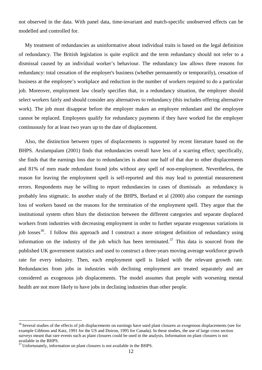not observed in the data. With panel data, time-invariant and match-specific unobserved effects can be modelled and controlled for.

My treatment of redundancies as uninformative about individual traits is based on the legal definition of redundancy. The British legislation is quite explicit and the term redundancy should not refer to a dismissal caused by an individual worker's behaviour. [The](http://en.wikipedia.org/wiki/United_Kingdom) redundancy law allows three reasons for redundancy: total cessation of the employer's business (whether permanently or temporarily), cessation of business at the employee's workplace and reduction in the number of workers required to do a particular job. Moreover, employment law clearly specifies that, in a redundancy situation, the employer should select workers fairly and should consider any alternatives to redundancy (this includes offering alternative work). The job must disappear before the employer makes an employee redundant and the employee cannot be replaced. Employees qualify for redundancy payments if they have worked for the employer continuously for at least two years up to the date of displacement.

Also, the distinction between types of displacements is supported by recent literature based on the BHPS. Arulampalam (2001) finds that redundancies overall have less of a scarring effect; specifically, she finds that the earnings loss due to redundancies is about one half of that due to other displacements and 81% of men made redundant found jobs without any spell of non-employment. Nevertheless, the reason for leaving the employment spell is self-reported and this may lead to potential measurement errors. Respondents may be willing to report redundancies in cases of dismissals as redundancy is probably less stigmatic. In another study of the BHPS, Borland et al (2000) also compare the earnings loss of workers based on the reasons for the termination of the employment spell. They argue that the institutional system often blurs the distinction between the different categories and separate displaced workers from industries with decreasing employment in order to further separate exogenous variations in job losses<sup>[36](#page-40-0)</sup>. I follow this approach and I construct a more stringent definition of redundancy using information on the industry of the job which has been terminated.<sup>[37](#page-40-1)</sup> This data is sourced from the published UK government statistics and used to construct a three-years moving average workforce growth rate for every industry. Then, each employment spell is linked with the relevant growth rate. Redundancies from jobs in industries with declining employment are treated separately and are considered as exogenous job displacements. The model assumes that people with worsening mental health are not more likely to have jobs in declining industries than other people.

<span id="page-40-0"></span><sup>&</sup>lt;sup>36</sup> Several studies of the effects of job displacements on earnings have used plant closures as exogenous displacements (see for example Gibbons and Katz, 1991 for the US and Doiron, 1995 for Canada). In these studies, the use of large cross section surveys meant that rare events such as plant closures could be used in the analysis. Information on plant closures is not available in the BHPS.

<span id="page-40-1"></span><sup>&</sup>lt;sup>37</sup> Unfortunately, information on plant closures is not available in the BHPS.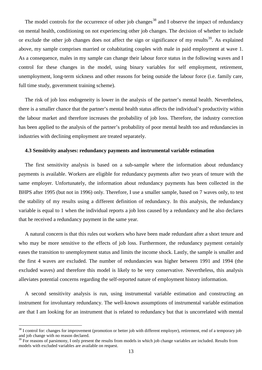The model controls for the occurrence of other job changes<sup>[38](#page-41-0)</sup> and I observe the impact of redundancy on mental health, conditioning on not experiencing other job changes. The decision of whether to include or exclude the other job changes does not affect the sign or significance of my results<sup>[39](#page-41-1)</sup>. As explained above, my sample comprises married or cohabitating couples with male in paid employment at wave 1. As a consequence, males in my sample can change their labour force status in the following waves and I control for these changes in the model, using binary variables for self employment, retirement, unemployment, long-term sickness and other reasons for being outside the labour force (i.e. family care, full time study, government training scheme).

The risk of job loss endogeneity is lower in the analysis of the partner's mental health. Nevertheless, there is a smaller chance that the partner's mental health status affects the individual's productivity within the labour market and therefore increases the probability of job loss. Therefore, the industry correction has been applied to the analysis of the partner's probability of poor mental health too and redundancies in industries with declining employment are treated separately.

#### **4.3 Sensitivity analyses: redundancy payments and instrumental variable estimation**

The first sensitivity analysis is based on a sub-sample where the information about redundancy payments is available. Workers are eligible for redundancy payments after two years of tenure with the same employer. Unfortunately, the information about redundancy payments has been collected in the BHPS after 1995 (but not in 1996) only. Therefore, I use a smaller sample, based on 7 waves only, to test the stability of my results using a different definition of redundancy. In this analysis, the redundancy variable is equal to 1 when the individual reports a job loss caused by a redundancy and he also declares that he received a redundancy payment in the same year.

A natural concern is that this rules out workers who have been made redundant after a short tenure and who may be more sensitive to the effects of job loss. Furthermore, the redundancy payment certainly eases the transition to unemployment status and limits the income shock. Lastly, the sample is smaller and the first 4 waves are excluded. The number of redundancies was higher between 1991 and 1994 (the excluded waves) and therefore this model is likely to be very conservative. Nevertheless, this analysis alleviates potential concerns regarding the self-reported nature of employment history information.

A second sensitivity analysis is run, using instrumental variable estimation and constructing an instrument for involuntary redundancy. The well-known assumptions of instrumental variable estimation are that I am looking for an instrument that is related to redundancy but that is uncorrelated with mental

<span id="page-41-0"></span><sup>&</sup>lt;sup>38</sup> I control for: changes for improvement (promotion or better job with different employer), retirement, end of a temporary job and job change with no reason declared.

<span id="page-41-1"></span> $39$  For reasons of parsimony, I only present the results from models in which job change variables are included. Results from models with excluded variables are available on request.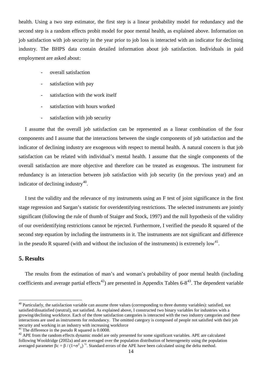health. Using a two step estimator, the first step is a linear probability model for redundancy and the second step is a random effects probit model for poor mental health, as explained above. Information on job satisfaction with job security in the year prior to job loss is interacted with an indicator for declining industry. The BHPS data contain detailed information about job satisfaction. Individuals in paid employment are asked about:

- overall satisfaction
- satisfaction with pay
- satisfaction with the work itself
- satisfaction with hours worked
- satisfaction with job security

I assume that the overall job satisfaction can be represented as a linear combination of the four components and I assume that the interactions between the single components of job satisfaction and the indicator of declining industry are exogenous with respect to mental health. A natural concern is that job satisfaction can be related with individual's mental health. I assume that the single components of the overall satisfaction are more objective and therefore can be treated as exogenous. The instrument for redundancy is an interaction between job satisfaction with job security (in the previous year) and an indicator of declining industry $40$ .

I test the validity and the relevance of my instruments using an F test of joint significance in the first stage regression and Sargan's statistic for overidentifying restrictions. The selected instruments are jointly significant (following the rule of thumb of Staiger and Stock, 1997) and the null hypothesis of the validity of our overidentifying restrictions cannot be rejected. Furthermore, I verified the pseudo R squared of the second step equation by including the instruments in it. The instruments are not significant and difference in the pseudo R squared (with and without the inclusion of the instruments) is extremely  $\text{low}^{41}$  $\text{low}^{41}$  $\text{low}^{41}$ .

#### **5. Results**

The results from the estimation of man's and woman's probability of poor mental health (including coefficients and average partial effects<sup>[42](#page-42-2)</sup>) are presented in Appendix Tables  $6-8^{43}$  $6-8^{43}$  $6-8^{43}$ . The dependent variable

<span id="page-42-3"></span><span id="page-42-0"></span><sup>&</sup>lt;sup>40</sup> Particularly, the satisfaction variable can assume three values (corresponding to three dummy variables): satisfied, not satisfied/dissatisfied (neutral), not satisfied. As explained above, I constructed two binary variables for industries with a growing/declining workforce. Each of the three satisfaction categories is interacted with the two industry categories and these interactions are used as instruments for redundancy. The omitted category is composed of people not satisfied with their job security and working in an industry with increasing workforce<br><sup>41</sup> The difference in the pseudo R squared is 0.0008.

<span id="page-42-2"></span><span id="page-42-1"></span> $42$  APE from the random effects dynamic model are only presented for some significant variables. APE are calculated following Wooldridge (2002a) and are averaged over the population distribution of heterogeneity using the population averaged parameter βc = β / (1+ $\sigma^2$ <sub>μ</sub>)<sup>1/2</sup>. Standard errors of the APE have been calculated using the delta method.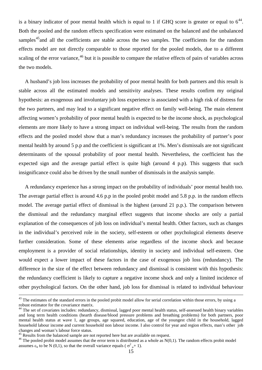is a binary indicator of poor mental health which is equal to 1 if GHQ score is greater or equal to  $6^{44}$ . Both the pooled and the random effects specification were estimated on the balanced and the unbalanced samples<sup>45</sup> and all the coefficients are stable across the two samples. The coefficients for the random effects model are not directly comparable to those reported for the pooled models, due to a different scaling of the error variance,<sup>[46](#page-43-2)</sup> but it is possible to compare the relative effects of pairs of variables across the two models.

A husband's job loss increases the probability of poor mental health for both partners and this result is stable across all the estimated models and sensitivity analyses. These results confirm my original hypothesis: an exogenous and involuntary job loss experience is associated with a high risk of distress for the two partners, and may lead to a significant negative effect on family well-being. The main element affecting women's probability of poor mental health is expected to be the income shock, as psychological elements are more likely to have a strong impact on individual well-being. The results from the random effects and the pooled model show that a man's redundancy increases the probability of partner's poor mental health by around 5 p.p and the coefficient is significant at 1%. Men's dismissals are not significant determinants of the spousal probability of poor mental health. Nevertheless, the coefficient has the expected sign and the average partial effect is quite high (around 4 p.p). This suggests that such insignificance could also be driven by the small number of dismissals in the analysis sample.

A redundancy experience has a strong impact on the probability of individuals' poor mental health too. The average partial effect is around 4.6 p.p in the pooled probit model and 5.8 p.p. in the random effects model. The average partial effect of dismissal is the highest (around 21 p.p.). The comparison between the dismissal and the redundancy marginal effect suggests that income shocks are only a partial explanation of the consequences of job loss on individual's mental health. Other factors, such as changes in the individual's perceived role in the society, self-esteem or other psychological elements deserve further consideration. Some of these elements arise regardless of the income shock and because employment is a provider of social relationships, identity in society and individual self-esteem. One would expect a lower impact of these factors in the case of exogenous job loss (redundancy). The difference in the size of the effect between redundancy and dismissal is consistent with this hypothesis: the redundancy coefficient is likely to capture a negative income shock and only a limited incidence of other psychological factors. On the other hand, job loss for dismissal is related to individual behaviour

 $43$  The estimates of the standard errors in the pooled probit model allow for serial correlation within those errors, by using a robust estimator for the covariance matrix.

<span id="page-43-0"></span><sup>&</sup>lt;sup>44</sup> The set of covariates includes: redundancy, dismissal, lagged poor mental health status, self-assessed health binary variables and long term health conditions (hearth disease/blood pressure problems and breathing problems) for both partners, poor mental health status at wave 1, age groups, age squared, education, age of the youngest child in the household, lagged household labour income and current household non labour income. I also control for year and region effects, man's other job changes and woman's labour force status.<br><sup>45</sup> Results from the balanced sample are not reported here but are available on request.

<span id="page-43-2"></span><span id="page-43-1"></span><sup>&</sup>lt;sup>46</sup> The pooled probit model assumes that the error term is distributed as a whole as  $N(0,1)$ . The random effects probit model assumes  $\varepsilon_{it}$  to be N (0,1), so that the overall variance equals (  $\sigma^2_{\mu}+1$ ).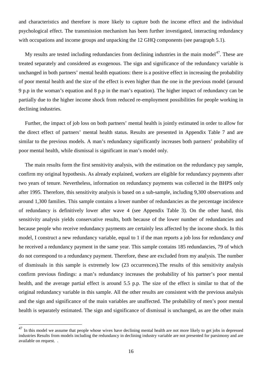and characteristics and therefore is more likely to capture both the income effect and the individual psychological effect. The transmission mechanism has been further investigated, interacting redundancy with occupations and income groups and unpacking the 12 GHQ components (see paragraph 5.1).

My results are tested including redundancies from declining industries in the main model $^{47}$  $^{47}$  $^{47}$ . These are treated separately and considered as exogenous. The sign and significance of the redundancy variable is unchanged in both partners' mental health equations: there is a positive effect in increasing the probability of poor mental health and the size of the effect is even higher than the one in the previous model (around 9 p.p in the woman's equation and 8 p.p in the man's equation). The higher impact of redundancy can be partially due to the higher income shock from reduced re-employment possibilities for people working in declining industries.

Further, the impact of job loss on both partners' mental health is jointly estimated in order to allow for the direct effect of partners' mental health status. Results are presented in Appendix Table 7 and are similar to the previous models. A man's redundancy significantly increases both partners' probability of poor mental health, while dismissal is significant in man's model only.

The main results form the first sensitivity analysis, with the estimation on the redundancy pay sample, confirm my original hypothesis. As already explained, workers are eligible for redundancy payments after two years of tenure. Nevertheless, information on redundancy payments was collected in the BHPS only after 1995. Therefore, this sensitivity analysis is based on a sub-sample, including 9,300 observations and around 1,300 families. This sample contains a lower number of redundancies as the percentage incidence of redundancy is definitively lower after wave 4 (see Appendix Table 3). On the other hand, this sensitivity analysis yields conservative results, both because of the lower number of redundancies and because people who receive redundancy payments are certainly less affected by the income shock. In this model, I construct a new redundancy variable, equal to 1 if the man reports a job loss for redundancy *and*  he received a redundancy payment in the same year. This sample contains 185 redundancies, 79 of which do not correspond to a redundancy payment. Therefore, these are excluded from my analysis. The number of dismissals in this sample is extremely low (23 occurrences).The results of this sensitivity analysis confirm previous findings: a man's redundancy increases the probability of his partner's poor mental health, and the average partial effect is around 5.5 p.p. The size of the effect is similar to that of the original redundancy variable in this sample. All the other results are consistent with the previous analysis and the sign and significance of the main variables are unaffected. The probability of men's poor mental health is separately estimated. The sign and significance of dismissal is unchanged, as are the other main

<span id="page-44-0"></span> $^{47}$  In this model we assume that people whose wives have declining mental health are not more likely to get jobs in depressed industries Results from models including the redundancy in declining industry variable are not presented for parsimony and are available on request. .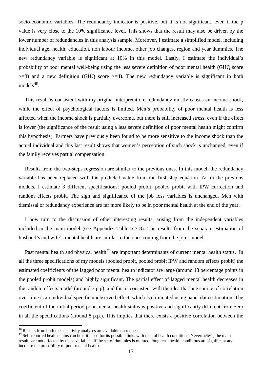socio-economic variables. The redundancy indicator is positive, but it is not significant, even if the p value is very close to the 10% significance level. This shows that the result may also be driven by the lower number of redundancies in this analysis sample. Moreover, I estimate a simplified model, including individual age, health, education, non labour income, other job changes, region and year dummies. The new redundancy variable is significant at 10% in this model. Lastly, I estimate the individual's probability of poor mental well-being using the less severe definition of poor mental health (GHQ score  $>=$ 3) and a new definition (GHQ score  $>=$  4). The new redundancy variable is significant in both models<sup>[48](#page-45-0)</sup>.

This result is consistent with my original interpretation: redundancy mostly causes an income shock, while the effect of psychological factors is limited. Men's probability of poor mental health is less affected when the income shock is partially overcome, but there is still increased stress, even if the effect is lower (the significance of the result using a less severe definition of poor mental health might confirm this hypothesis). Partners have previously been found to be more sensitive to the income shock than the actual individual and this last result shows that women's perception of such shock is unchanged, even if the family receives partial compensation.

Results from the two-steps regression are similar to the previous ones. In this model, the redundancy variable has been replaced with the predicted value from the first step equation. As in the previous models, I estimate 3 different specifications: pooled probit, pooled probit with IPW correction and random effects probit. The sign and significance of the job loss variables is unchanged. Men with dismissal or redundancy experience are far more likely to be in poor mental health at the end of the year.

I now turn to the discussion of other interesting results, arising from the independent variables included in the main model (see Appendix Table 6-7-8). The results from the separate estimation of husband's and wife's mental health are similar to the ones coming from the joint model.

Past mental health and physical health<sup>[49](#page-45-1)</sup> are important determinants of current mental health status. In all the three specifications of my models (pooled probit, pooled probit IPW and random effects probit) the estimated coefficients of the lagged poor mental health indicator are large (around 18 percentage points in the pooled probit models) and highly significant. The partial effect of lagged mental health decreases in the random effects model (around 7 p.p). and this is consistent with the idea that one source of correlation over time is an individual specific unobserved effect, which is eliminated using panel data estimation. The coefficient of the initial period poor mental health status is positive and significantly different from zero in all the specifications (around 8 p.p.). This implies that there exists a positive correlation between the

<span id="page-45-0"></span><sup>&</sup>lt;sup>48</sup> Results from both the sensitivity analyses are available on request.

<span id="page-45-1"></span><sup>&</sup>lt;sup>49</sup> Self-reported health status can be criticised for its possible links with mental health conditions. Nevertheless, the main results are not affected by these variables. If the set of dummies is omitted, long term health conditions are significant and increase the probability of poor mental health.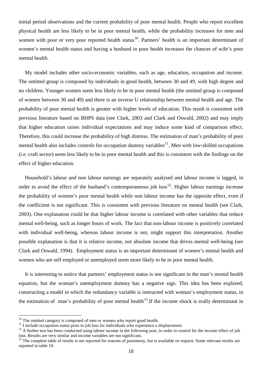initial period observations and the current probability of poor mental health. People who report excellent physical health are less likely to be in poor mental health, while the probability increases for men and women with poor or very poor reported health status<sup>[50](#page-46-0)</sup>. Partners' health is an important determinant of women's mental health status and having a husband in poor health increases the chances of wife's poor mental health.

My model includes other socio-economic variables, such as age, education, occupation and income. The omitted group is composed by individuals in good health, between 30 and 49, with high degree and no children. Younger women seem less likely to be in poor mental health (the omitted group is composed of women between 30 and 49) and there is an inverse U relationship between mental health and age. The probability of poor mental health is greater with higher levels of education. This result is consistent with previous literature based on BHPS data (see Clark, 2003 and Clark and Oswald, 2002) and may imply that higher education raises individual expectations and may induce some kind of comparison effect. Therefore, this could increase the probability of high distress. The estimation of man's probability of poor mental health also includes controls for occupation dummy variables<sup>[51](#page-46-1)</sup>. Men with low-skilled occupations (i.e. craft sector) seem less likely to be in poor mental health and this is consistent with the findings on the effect of higher education.

Household's labour and non labour earnings are separately analysed and labour income is lagged, in order to avoid the effect of the husband's contemporaneous job loss<sup>[52](#page-46-2)</sup>. Higher labour earnings increase the probability of women's poor mental health while non labour income has the opposite effect, even if the coefficient is not significant. This is consistent with previous literature on mental health (see Clark, 2003). One explanation could be that higher labour income is correlated with other variables that reduce mental well-being, such as longer hours of work. The fact that non-labour income is positively correlated with individual well-being, whereas labour income is not, might support this interpretation. Another possible explanation is that it is relative income, not absolute income that drives mental well-being (see Clark and Oswald, 1994). Employment status is an important determinant of women's mental health and women who are self employed or unemployed seem more likely to be in poor mental health.

It is interesting to notice that partners' employment status is not significant in the man's mental health equation, but the woman's unemployment dummy has a negative sign. This idea has been explored, constructing a model in which the redundancy variable is interacted with woman's employment status, in the estimation of man's probability of poor mental health<sup>[53](#page-46-3)</sup>. If the income shock is really determinant in

<span id="page-46-0"></span> $50$  The omitted category is composed of men or women who report good health.<br> $51$  I include occupation status prior to job loss for individuals who experience a displacement.

<span id="page-46-2"></span><span id="page-46-1"></span> $52$  A further test has been conducted using labour income in the following year, in order to control for the income effect of job loss. Results are very similar and income variables are not significant.

<span id="page-46-3"></span><sup>&</sup>lt;sup>53</sup> The complete table of results is not reported for reasons of parsimony, but is available on request. Some relevant results are reported in table 19.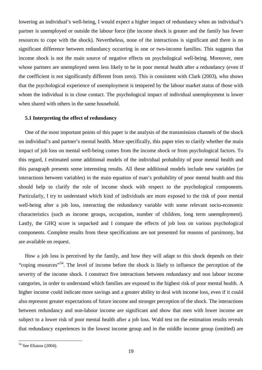lowering an individual's well-being, I would expect a higher impact of redundancy when an individual's partner is unemployed or outside the labour force (the income shock is greater and the family has fewer resources to cope with the shock). Nevertheless, none of the interactions is significant and there is no significant difference between redundancy occurring in one or two-income families. This suggests that income shock is not the main source of negative effects on psychological well-being. Moreover, men whose partners are unemployed seem less likely to be in poor mental health after a redundancy (even if the coefficient is not significantly different from zero). This is consistent with Clark (2003), who shows that the psychological experience of unemployment is tempered by the labour market status of those with whom the individual is in close contact. The psychological impact of individual unemployment is lower when shared with others in the same household.

#### **5.1 Interpreting the effect of redundancy**

One of the most important points of this paper is the analysis of the transmission channels of the shock on individual's and partner's mental health. More specifically, this paper tries to clarify whether the main impact of job loss on mental well-being comes from the income shock or from psychological factors. To this regard, I estimated some additional models of the individual probability of poor mental health and this paragraph presents some interesting results. All these additional models include new variables (or interactions between variables) in the main equation of man's probability of poor mental health and this should help to clarify the role of income shock with respect to the psychological components. Particularly, I try to understand which kind of individuals are more exposed to the risk of poor mental well-being after a job loss, interacting the redundancy variable with some relevant socio-economic characteristics (such as income groups, occupation, number of children, long term unemployment). Lastly, the GHQ score is unpacked and I compare the effects of job loss on various psychological components. Complete results from these specifications are not presented for reasons of parsimony, but are available on request.

How a job loss is perceived by the family, and how they will adapt to this shock depends on their "coping resources"<sup>[54](#page-47-0)</sup>. The level of income before the shock is likely to influence the perception of the severity of the income shock. I construct five interactions between redundancy and non labour income categories, in order to understand which families are exposed to the highest risk of poor mental health. A higher income could indicate more savings and a greater ability to deal with income loss, even if it could also represent greater expectations of future income and stronger perception of the shock. The interactions between redundancy and non-labour income are significant and show that men with lower income are subject to a lower risk of poor mental health after a job loss. Wald test on the estimation results reveals that redundancy experiences in the lowest income group and in the middle income group (omitted) are

<span id="page-47-0"></span> <sup>54</sup> See Eliason (2004).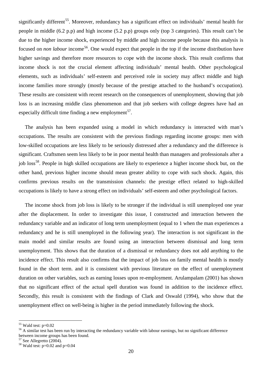significantly different<sup>[55](#page-48-0)</sup>. Moreover, redundancy has a significant effect on individuals' mental health for people in middle (6.2 p.p) and high income (5.2 p.p) groups only (top 3 categories). This result can't be due to the higher income shock, experienced by middle and high income people because this analysis is focused on *non labour* income<sup>56</sup>. One would expect that people in the top if the income distribution have higher savings and therefore more resources to cope with the income shock. This result confirms that income shock is not the crucial element affecting individuals' mental health. Other psychological elements, such as individuals' self-esteem and perceived role in society may affect middle and high income families more strongly (mostly because of the prestige attached to the husband's occupation). These results are consistent with recent research on the consequences of unemployment, showing that job loss is an increasing middle class phenomenon and that job seekers with college degrees have had an especially difficult time finding a new employment<sup>[57](#page-48-2)</sup>.

The analysis has been expanded using a model in which redundancy is interacted with man's occupations. The results are consistent with the previous findings regarding income groups: men with low-skilled occupations are less likely to be seriously distressed after a redundancy and the difference is significant. Craftsmen seem less likely to be in poor mental health than managers and professionals after a job loss<sup>[58](#page-48-3)</sup>. People in high skilled occupations are likely to experience a higher income shock but, on the other hand, previous higher income should mean greater ability to cope with such shock. Again, this confirms previous results on the transmission channels: the prestige effect related to high-skilled occupations is likely to have a strong effect on individuals' self-esteem and other psychological factors.

The income shock from job loss is likely to be stronger if the individual is still unemployed one year after the displacement. In order to investigate this issue, I constructed and interaction between the redundancy variable and an indicator of long term unemployment (equal to 1 when the man experiences a redundancy and he is still unemployed in the following year). The interaction is not significant in the main model and similar results are found using an interaction between dismissal and long term unemployment. This shows that the duration of a dismissal or redundancy does not add anything to the incidence effect. This result also confirms that the impact of job loss on family mental health is mostly found in the short term. and it is consistent with previous literature on the effect of unemployment duration on other variables, such as earning losses upon re-employment. Arulampalam (2001) has shown that no significant effect of the actual spell duration was found in addition to the incidence effect. Secondly, this result is consistent with the findings of Clark and Oswald (1994), who show that the unemployment effect on well-being is higher in the period immediately following the shock.

<span id="page-48-1"></span>

<span id="page-48-0"></span><sup>&</sup>lt;sup>55</sup> Wald test:  $p=0.02$ <br><sup>56</sup> A similar test has been run by interacting the redundancy variable with labour earnings, but no significant difference between income groups has been found.<br><sup>57</sup> See Allegretto (2004).

<span id="page-48-3"></span><span id="page-48-2"></span> $58$  Wald test: p=0.02 and p=0.04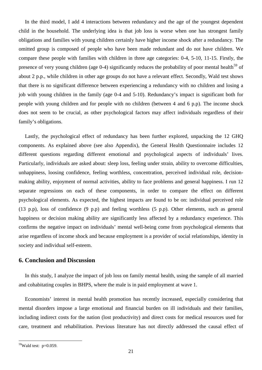In the third model, I add 4 interactions between redundancy and the age of the youngest dependent child in the household. The underlying idea is that job loss is worse when one has strongest family obligations and families with young children certainly have higher income shock after a redundancy. The omitted group is composed of people who have been made redundant and do not have children. We compare these people with families with children in three age categories: 0-4, 5-10, 11-15. Firstly, the presence of very young children (age 0-4) significantly reduces the probability of poor mental health<sup>[59](#page-49-0)</sup> of about 2 p.p., while children in other age groups do not have a relevant effect. Secondly, Wald test shows that there is no significant difference between experiencing a redundancy with no children and losing a job with young children in the family (age 0-4 and 5-10). Redundancy's impact is significant both for people with young children and for people with no children (between 4 and 6 p.p). The income shock does not seem to be crucial, as other psychological factors may affect individuals regardless of their family's obligations.

Lastly, the psychological effect of redundancy has been further explored, unpacking the 12 GHQ components. As explained above (see also Appendix), the General Health Questionnaire includes 12 different questions regarding different emotional and psychological aspects of individuals' lives. Particularly, individuals are asked about: sleep loss, feeling under strain, ability to overcome difficulties, unhappiness, loosing confidence, feeling worthless, concentration, perceived individual role, decisionmaking ability, enjoyment of normal activities, ability to face problems and general happiness. I run 12 separate regressions on each of these components, in order to compare the effect on different psychological elements. As expected, the highest impacts are found to be on: individual perceived role (13 p.p), loss of confidence (9 p.p) and feeling worthless (5 p.p). Other elements, such as general happiness or decision making ability are significantly less affected by a redundancy experience. This confirms the negative impact on individuals' mental well-being come from psychological elements that arise regardless of income shock and because employment is a provider of social relationships, identity in society and individual self-esteem.

#### **6. Conclusion and Discussion**

In this study, I analyze the impact of job loss on family mental health, using the sample of all married and cohabitating couples in BHPS, where the male is in paid employment at wave 1.

Economists' interest in mental health promotion has recently increased, especially considering that mental disorders impose a large emotional and financial burden on ill individuals and their families, including indirect costs for the nation (lost productivity) and direct costs for medical resources used for care, treatment and rehabilitation. Previous literature has not directly addressed the causal effect of

<span id="page-49-0"></span> $59$ Wald test: p=0.059.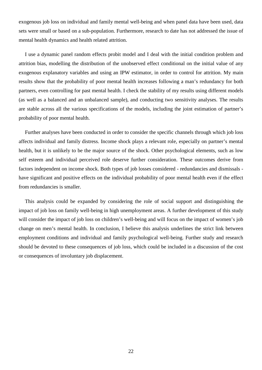exogenous job loss on individual and family mental well-being and when panel data have been used, data sets were small or based on a sub-population. Furthermore, research to date has not addressed the issue of mental health dynamics and health related attrition.

I use a dynamic panel random effects probit model and I deal with the initial condition problem and attrition bias, modelling the distribution of the unobserved effect conditional on the initial value of any exogenous explanatory variables and using an IPW estimator, in order to control for attrition. My main results show that the probability of poor mental health increases following a man's redundancy for both partners, even controlling for past mental health. I check the stability of my results using different models (as well as a balanced and an unbalanced sample), and conducting two sensitivity analyses. The results are stable across all the various specifications of the models, including the joint estimation of partner's probability of poor mental health.

Further analyses have been conducted in order to consider the specific channels through which job loss affects individual and family distress. Income shock plays a relevant role, especially on partner's mental health, but it is unlikely to be the major source of the shock. Other psychological elements, such as low self esteem and individual perceived role deserve further consideration. These outcomes derive from factors independent on income shock. Both types of job losses considered - redundancies and dismissals have significant and positive effects on the individual probability of poor mental health even if the effect from redundancies is smaller.

This analysis could be expanded by considering the role of social support and distinguishing the impact of job loss on family well-being in high unemployment areas. A further development of this study will consider the impact of job loss on children's well-being and will focus on the impact of women's job change on men's mental health. In conclusion, I believe this analysis underlines the strict link between employment conditions and individual and family psychological well-being. Further study and research should be devoted to these consequences of job loss, which could be included in a discussion of the cost or consequences of involuntary job displacement.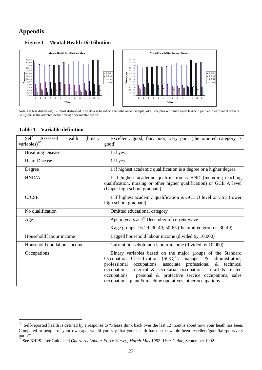#### **Appendix**

#### **Figure 1 – Mental Health Distribution**



Note: 0= less distressed; 12: most distressed. The data is based on the unbalanced sample, of all couples with man aged 16-65 in paid employment at wave 1. GHQ>=6 is the adopted definition of poor mental health.

#### **Table 1 – Variable definition**

| Health<br>(binary<br>Self<br>Assessed<br>variables) <sup>60</sup> | Excellent, good, fair, poor, very poor (the omitted category is<br>good)                                                                                                                                                                                                                                                                                                                               |  |  |  |
|-------------------------------------------------------------------|--------------------------------------------------------------------------------------------------------------------------------------------------------------------------------------------------------------------------------------------------------------------------------------------------------------------------------------------------------------------------------------------------------|--|--|--|
| <b>Breathing Disease</b>                                          | 1 if yes                                                                                                                                                                                                                                                                                                                                                                                               |  |  |  |
| <b>Heart Disease</b>                                              | 1 if yes                                                                                                                                                                                                                                                                                                                                                                                               |  |  |  |
| Degree                                                            | 1 if highest academic qualification is a degree or a higher degree                                                                                                                                                                                                                                                                                                                                     |  |  |  |
| HND/A                                                             | 1 if highest academic qualification is HND (including teaching<br>qualification, nursing or other higher qualification) or GCE A level<br>(Upper high school graduate)                                                                                                                                                                                                                                 |  |  |  |
| O/CSE                                                             | 1 if highest academic qualification is GCE O level or CSE (lower<br>high school graduate)                                                                                                                                                                                                                                                                                                              |  |  |  |
| No qualification                                                  | Omitted educational category                                                                                                                                                                                                                                                                                                                                                                           |  |  |  |
| Age                                                               | Age in years at $1st$ December of current wave                                                                                                                                                                                                                                                                                                                                                         |  |  |  |
|                                                                   | 3 age groups: 16-29; 30-49; 50-65 (the omitted group is 30-49)                                                                                                                                                                                                                                                                                                                                         |  |  |  |
| Household labour income                                           | Lagged household labour income (divided by 10,000)                                                                                                                                                                                                                                                                                                                                                     |  |  |  |
| Household non labour income                                       | Current household non labour income (divided by 10,000)                                                                                                                                                                                                                                                                                                                                                |  |  |  |
| Occupations                                                       | Binary variables based on the major groups of the Standard<br>Occupation Classification $(SOC)^{61}$ : manager & administrators,<br>professional<br>occupations, associate professional & technical<br>occupations, clerical & secretarial occupations, craft & related<br>occupations, personal & protective service occupations, sales<br>occupations, plant & machine operatives, other occupations |  |  |  |

<span id="page-51-0"></span> $60$  Self-reported health is defined by a response to "Please think back over the last 12 months about how your heath has been. Compared to people of your own age, would you say that your health has on the whole been excellent/good/fair/poor/very poor?"

<span id="page-51-1"></span><sup>61</sup> See BHPS User Guide and *Quarterly Labour Force Survey, March-May 1992: User Guide*, September 1992.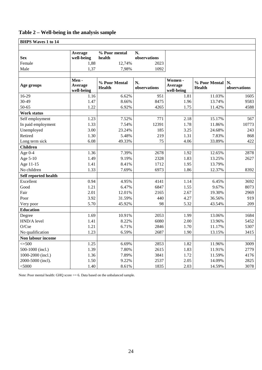#### **Table 2 – Well-being in the analysis sample**

| <b>BHPS Waves 1 to 14</b> |                               |                                |                    |                                  |                                |                    |
|---------------------------|-------------------------------|--------------------------------|--------------------|----------------------------------|--------------------------------|--------------------|
|                           |                               |                                |                    |                                  |                                |                    |
| <b>Sex</b>                | Average<br>well-being         | % Poor mental<br>health        | N.<br>observations |                                  |                                |                    |
| Female                    | 1,88                          | 12,74%                         | 2023               |                                  |                                |                    |
| Male                      | 1,37                          | 7,98%                          | 1092               |                                  |                                |                    |
|                           |                               |                                |                    |                                  |                                |                    |
| Age groups                | Men-<br>Average<br>well-being | % Poor Mental<br><b>Health</b> | N.<br>observations | Women -<br>Average<br>well-being | % Poor Mental<br><b>Health</b> | N.<br>observations |
| 16-29                     | 1.16                          | 6.62%                          | 951                | 1.81                             | 11.03%                         | 1605               |
| 30-49                     | 1.47                          | 8.66%                          | 8475               | 1.96                             | 13.74%                         | 9583               |
| 50-65                     | 1.22                          | 6.92%                          | 4265               | 1.75                             | 11.42%                         | 4588               |
| Work status               |                               |                                |                    |                                  |                                |                    |
| Self employment           | 1.23                          | 7.52%                          | 771                | 2.18                             | 15.17%                         | 567                |
| In paid employment        | 1.33                          | 7.54%                          | 12391              | 1.78                             | 11.86%                         | 10773              |
| Unemployed                | 3.00                          | 23.24%                         | 185                | 3.25                             | 24.68%                         | 243                |
| Retired                   | 1.30                          | 5.48%                          | 219                | 1.31                             | 7.83%                          | 868                |
| Long term sick            | 6.08                          | 49.33%                         | 75                 | 4.06                             | 33.89%                         | 422                |
| <b>Children</b>           |                               |                                |                    |                                  |                                |                    |
| Age $0-4$                 | 1.36                          | 7.39%                          | 2678               | 1.92                             | 12.65%                         | 2878               |
| Age 5-10                  | 1.49                          | 9.19%                          | 2328               | 1.83                             | 13.25%                         | 2627               |
| Age 11-15                 | 1.41                          | 8.41%                          | 1712               | 1.95                             | 13.79%                         |                    |
| No children               | 1.33                          | 7.69%                          | 6973               | 1.86                             | 12.37%                         | 8392               |
| Self reported health      |                               |                                |                    |                                  |                                |                    |
| Excellent                 | 0.94                          | 4.95%                          | 4141               | 1.14                             | 6.45%                          | 3692               |
| Good                      | 1.21                          | 6.47%                          | 6847               | 1.55                             | 9.67%                          | 8073               |
| Fair                      | 2.01                          | 12.01%                         | 2165               | 2.67                             | 19.30%                         | 2969               |
| Poor                      | 3.92                          | 31.59%                         | 440                | 4.27                             | 36.56%                         | 919                |
| Very poor                 | 5.70                          | 45.92%                         | 98                 | 5.32                             | 43.54%                         | 209                |
| <b>Education</b>          |                               |                                |                    |                                  |                                |                    |
| Degree                    | 1.69                          | 10.91%                         | 2053               | 1.99                             | 13.06%                         | 1684               |
| HND/A level               | 1.41                          | 8.22%                          | 6080               | 2.00                             | 13.96%                         | 5452               |
| O/Cse                     | 1.21                          | 6.71%                          | 2846               | 1.70                             | 11.17%                         | 5307               |
| No qualification          | 1.23                          | 6.59%                          | 2687               | 1.90                             | 13.15%                         | 3415               |
| Non labour income         |                               |                                |                    |                                  |                                |                    |
| $\leq 500$                | 1.25                          | 6.69%                          | 2853               | 1.82                             | 11.96%                         | 3009               |
| 500-1000 (incl.)          | 1.39                          | 7.80%                          | 2615               | 1.83                             | 11.91%                         | 2779               |
| 1000-2000 (incl.)         | 1.36                          | 7.89%                          | 3841               | 1.72                             | 11.59%                         | 4176               |
| 2000-5000 (incl).         | 1.50                          | 9.22%                          | 2537               | 2.05                             | 14.09%                         | 2825               |
| $<$ 5000                  | 1.40                          | 8.61%                          | 1835               | 2.03                             | 14.59%                         | 3078               |

Note: Poor mental health: GHQ score >= 6. Data based on the unbalanced sample.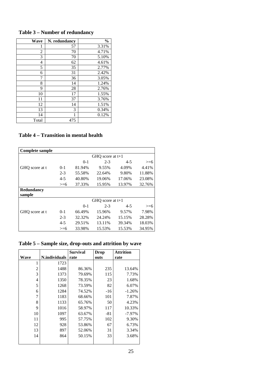| Wave  | N. redundancy | $\frac{0}{0}$ |
|-------|---------------|---------------|
| 1     | 57            | 3.31%         |
| 2     | 70            | 4.71%         |
| 3     | 70            | 5.10%         |
| 4     | 62            | 4.61%         |
| 5     | 35            | 2.77%         |
| 6     | 31            | 2.42%         |
| 7     | 36            | 3.05%         |
| 8     | 14            | 1.24%         |
| 9     | 28            | 2.76%         |
| 10    | 17            | 1.55%         |
| 11    | 37            | 3.76%         |
| 12    | 14            | 1.51%         |
| 13    | 3             | 0.34%         |
| 14    | 1             | 0.12%         |
| Total | 475           |               |

**Table 3 – Number of redundancy**

#### **Table 4 – Transition in mental health**

| Complete sample |         |        |                    |         |        |
|-----------------|---------|--------|--------------------|---------|--------|
|                 |         |        | GHQ score at $t+1$ |         |        |
|                 |         | $0-1$  | $2 - 3$            | $4 - 5$ | $>= 6$ |
| GHQ score at t  | $0-1$   | 81.94% | 9.55%              | 4.09%   | 4.41%  |
|                 | $2 - 3$ | 55.58% | 22.64%             | 9.80%   | 11.88% |
|                 | $4 - 5$ | 40.80% | 19.06%             | 17.06%  | 23.08% |
|                 | $>= 6$  | 37.33% | 15.95%             | 13.97%  | 32.76% |
| Redundancy      |         |        |                    |         |        |
| sample          |         |        |                    |         |        |
|                 |         |        | GHO score at $t+1$ |         |        |
|                 |         | $0-1$  | $2 - 3$            | $4 - 5$ | $>= 6$ |
| GHO score at t  | $0 - 1$ | 66.49% | 15.96%             | 9.57%   | 7.98%  |
|                 | $2 - 3$ | 32.32% | 24.24%             | 15.15%  | 28.28% |
|                 | $4 - 5$ | 29.51% | 13.11%             | 39.34%  | 18.03% |
|                 | $>= 6$  | 33.98% | 15.53%             | 15.53%  | 34.95% |

**Table 5 – Sample size, drop-outs and attrition by wave**

|                |               | <b>Survival</b> | <b>Drop</b> | <b>Attrition</b> |
|----------------|---------------|-----------------|-------------|------------------|
| Wave           | N.individuals | rate            | outs        | rate             |
| 1              | 1723          |                 |             |                  |
| $\overline{c}$ | 1488          | 86.36%          | 235         | 13.64%           |
| 3              | 1373          | 79.69%          | 115         | 7.73%            |
| 4              | 1350          | 78.35%          | 23          | 1.68%            |
| 5              | 1268          | 73.59%          | 82          | 6.07%            |
| 6              | 1284          | 74.52%          | $-16$       | $-1.26%$         |
| 7              | 1183          | 68.66%          | 101         | 7.87%            |
| 8              | 1133          | 65.76%          | 50          | 4.23%            |
| $\mathbf Q$    | 1016          | 58.97%          | 117         | 10.33%           |
| 10             | 1097          | 63.67%          | -81         | $-7.97\%$        |
| 11             | 995           | 57.75%          | 102         | 9.30%            |
| 12             | 928           | 53.86%          | 67          | 6.73%            |
| 13             | 897           | 52.06%          | 31          | 3.34%            |
| 14             | 864           | 50.15%          | 33          | 3.68%            |
|                |               |                 |             |                  |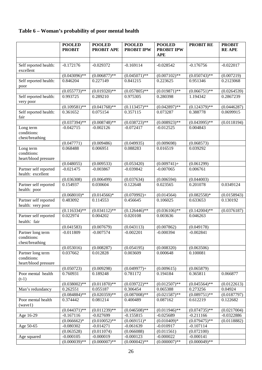#### **Table 6 – Woman's probability of poor mental health**

|                                     | <b>POOLED</b>   | <b>POOLED</b>     | <b>POOLED</b>               | <b>POOLED</b>     | <b>PROBIT RE</b>           | <b>PROBIT</b> |
|-------------------------------------|-----------------|-------------------|-----------------------------|-------------------|----------------------------|---------------|
|                                     | <b>PROBIT</b>   | <b>PROBIT APE</b> | <b>PROBIT IPW</b>           | <b>PROBIT IPW</b> |                            | <b>REAPE</b>  |
|                                     |                 |                   |                             | <b>APE</b>        |                            |               |
|                                     |                 |                   |                             |                   |                            |               |
| Self reported health:               | $-0.172176$     | $-0.029372$       | $-0.169114$                 | $-0.028542$       | $-0.176756$                | $-0.022017$   |
| excellent                           |                 |                   |                             |                   |                            |               |
|                                     | $(0.043096)$ ** | $(0.006877)**$    | $(0.045071)$ **             | $(0.007102)$ **   | $(0.050743)$ **            | (0.007219)    |
| Self reported health:               | 0.846204        | 0.227149          | 0.841215                    | 0.223625          | 0.951346                   | 0.2123068     |
| poor                                |                 |                   |                             |                   |                            |               |
|                                     | $(0.055773)**$  | $(0.019320)*$     | $(0.057805)$ **             | $(0.019871)$ **   | $(0.066751)$ **            | (0.0264539)   |
| Self reported health:               | 0.993725        | 0.289210          | 0.975305                    | 0.280398          | 1.194342                   | 0.2867239     |
| very poor                           |                 |                   |                             |                   |                            |               |
|                                     | $(0.109581)$ ** | $(0.041768)$ **   | $(0.113457)$ **<br>0.357115 | $(0.042897)$ **   | $(0.124379)**$<br>0.388778 | (0.0446287)   |
| Self reported health:<br>fair       | 0.361652        | 0.075154          |                             | 0.073287          |                            | 0.0699915     |
|                                     | $(0.037394)$ ** | $(0.008748)$ **   | $(0.038723)**$              | $(0.008923)*$     | $(0.043995)$ **            | (0.0118194)   |
| Long term                           | $-0.042715$     | $-0.002126$       | $-0.072417$                 | $-0.012525$       | 0.004843                   |               |
| conditions:                         |                 |                   |                             |                   |                            |               |
| chest/breathing                     |                 |                   |                             |                   |                            |               |
|                                     | (0.047771)      | (0.009486)        | (0.049935)                  | (0.009698)        | (0.068573)                 |               |
| Long term                           | 0.068488        | 0.006951          | 0.088283                    | 0.016519          | 0.039292                   |               |
| conditions:                         |                 |                   |                             |                   |                            |               |
| heart/blood pressure                |                 |                   |                             |                   |                            |               |
|                                     | (0.048055)      | (0.009533)        | (0.053420)                  | $(0.009741) +$    | (0.061299)                 |               |
| Partner self reported               | $-0.021475$     | $-0.003867$       | $-0.039842$                 | $-0.007065$       | 0.006761                   |               |
| health: excellent                   |                 |                   |                             |                   |                            |               |
|                                     | (0.036308)      | (0.006499)        | (0.037634)                  | (0.006594)        | (0.044003)                 |               |
| Partner self reported               | 0.154937        | 0.030604          | 0.122648                    | 0.023565          | 0.201078                   | 0.0349124     |
| health: poor                        |                 |                   |                             |                   |                            |               |
|                                     | $(0.068010)*$   | $(0.014566)*$     | $(0.070992)+$               | (0.014564)        | $(0.082558)*$              | (0.0158943)   |
| Partner self reported               | 0.483092        | 0.114553          | 0.456645                    | 0.106025          | 0.633653                   | 0.130192      |
| health: very poor                   |                 |                   |                             |                   |                            |               |
|                                     | $(0.116334)$ ** | $(0.034112)$ **   | $(0.126446)$ **             | $(0.036106)$ **   | $(0.142004)$ **            | (0.0376187)   |
| Partner self reported               | 0.022974        | 0.004202          | 0.020108                    | 0.003636          | 0.046263                   |               |
| health: fair                        |                 |                   |                             |                   |                            |               |
|                                     | (0.041583)      | (0.007679)        | (0.043113)                  | (0.007862)        | (0.049178)                 |               |
| Partner long term                   | $-0.011809$     | $-0.007574$       | $-0.002201$                 | $-0.000394$       | $-0.002841$                |               |
| conditions:                         |                 |                   |                             |                   |                            |               |
| chest/breathing                     |                 |                   |                             |                   |                            |               |
|                                     | (0.053016)      | (0.008287)        | (0.054195)                  | (0.008320)        | (0.063506)                 |               |
| Partner long term                   | 0.037662        | 0.012828          | 0.003609                    | 0.000648          | 0.100081                   |               |
| conditions:<br>heart/blood pressure |                 |                   |                             |                   |                            |               |
|                                     | (0.050723)      | (0.009298)        | $(0.049977) +$              | (0.009615)        | (0.065879)                 |               |
| Poor mental health                  | 0.760931        | 0.189248          | 0.781172                    | 0.194184          | 0.365811                   | 0.066877      |
| $(t-1)$                             |                 |                   |                             |                   |                            |               |
|                                     | $(0.038002)$ ** | $(0.011870)**$    | $(0.039722)**$              | $(0.012507)$ **   | $(0.045564)$ **            | (0.0122613)   |
| Man's redundancy                    | 0.262551        | 0.055187          | 0.306454                    | 0.065388          | 0.273256                   | 0.04924       |
|                                     | $(0.084884)$ ** | $(0.020359)**$    | $(0.087008)$ **             | $(0.021587)$ **   | $(0.089751)$ **            | (0.0187797)   |
| Poor mental health                  | 0.374442        | 0.081214          | 0.400489                    | 0.087162          | 0.612219                   | 0.122682      |
| (wave1)                             |                 |                   |                             |                   |                            |               |
|                                     | $(0.044371)$ ** | $(0.011239)**$    | $(0.046508)$ **             | $(0.011946)$ **   | $(0.074735)$ **            | (0.0217004)   |
| Age 16-29                           | $-0.167116$     | $-0.027699$       | $-0.155815$                 | $-0.025689$       | $-0.211166$                | $-0.0322886$  |
|                                     | $(0.066662)*$   | $(0.010052)$ **   | $(0.069151)^*$              | $(0.010409)*$     | $(0.079475)$ **            | (0.0118882)   |
| Age 50-65                           | $-0.080302$     | $-0.014271$       | $-0.061639$                 | $-0.010917$       | $-0.107114$                |               |
|                                     | (0.063528)      | (0.011074)        | (0.066088)                  | (0.011561)        | (0.072100)                 |               |
| Age squared                         | $-0.000105$     | $-0.000019$       | $-0.000123$                 | $-0.000022$       | $-0.000141$                |               |
|                                     | $(0.000039)$ ** | $(0.000007)$ **   | $(0.000042)$ **             | $(0.000007)$ **   | $(0.000049)$ **            |               |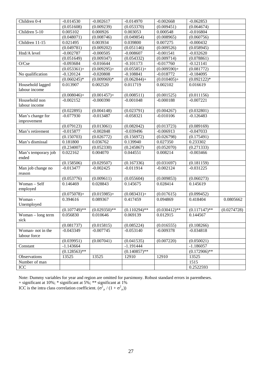| Children 0-4        | $-0.014530$     | $-0.002617$    | $-0.014970$     | $-0.002668$     | $-0.062853$     |             |
|---------------------|-----------------|----------------|-----------------|-----------------|-----------------|-------------|
|                     | (0.051608)      | (0.009239)     | (0.053370)      | (0.009451)      | (0.064674)      |             |
| Children 5-10       | 0.005102        | 0.000926       | 0.003053        | 0.000548        | $-0.016804$     |             |
|                     | (0.048071)      | (0.008746)     | (0.049854)      | (0.008965)      | (0.060756)      |             |
| Children 11-15      | 0.021495        | 0.003934       | 0.039800        | 0.007275        | $-0.000432$     |             |
|                     | (0.049781)      | (0.009202)     | (0.051146)      | (0.009526)      | (0.058945)      |             |
| Hnd/A level         | $-0.002787$     | $-0.000505$    | $-0.008607$     | $-0.001541$     | $-0.032620$     |             |
|                     | (0.051649)      | (0.009347)     | (0.054332)      | (0.009714)      | (0.078861)      |             |
| O/Cse               | $-0.093684$     | $-0.016644$    | $-0.101173$     | $-0.017760$     | $-0.121141$     |             |
|                     | $(0.053361) +$  | $(0.009295) +$ | $(0.055851) +$  | $(0.009590)+$   | (0.081772)      |             |
| No qualification    | $-0.120124$     | $-0.020808$    | $-0.108841$     | $-0.018772$     | $-0.184095$     |             |
|                     | $(0.060245)*$   | $(0.009969)*$  | $(0.062844) +$  | $(0.010405) +$  | $(0.092122)*$   |             |
| Household lagged    | 0.013907        | 0.002520       | 0.011719        | 0.002102        | 0.016619        |             |
| labour income       |                 |                |                 |                 |                 |             |
|                     | $(0.008046) +$  | $(0.001457) +$ | (0.008511)      | (0.001525)      | (0.011156)      |             |
| Household non       | $-0.002152$     | $-0.000390$    | $-0.001048$     | $-0.000188$     | $-0.007221$     |             |
| labour income       |                 |                |                 |                 |                 |             |
|                     | (0.022895)      | (0.004148)     | (0.023791)      | (0.004267)      | (0.032801)      |             |
| Man's change for    | $-0.077930$     | $-0.013487$    | $-0.058321$     | $-0.010106$     | $-0.126483$     |             |
| improvement         |                 |                |                 |                 |                 |             |
|                     | (0.079123)      | (0.013061)     | (0.082042)      | (0.013723)      | (0.089169)      |             |
| Man's retirement    | $-0.015877$     | $-0.002848$    | $-0.039496$     | $-0.006913$     | $-0.047033$     |             |
|                     | (0.150703)      | (0.026772)     | (0.156972)      | (0.026798)      | (0.175491)      |             |
| Man's dismissal     | 0.181800        | 0.036762       | 0.139940        | 0.027350        | 0.233302        |             |
|                     | (0.234007)      | (0.052330)     | (0.245867)      | (0.052070)      | (0.271333)      |             |
| Man's temporary job | 0.022162        | 0.004070       | 0.044551        | 0.008214        | $-0.003466$     |             |
| ended               |                 |                |                 |                 |                 |             |
|                     | (0.158506)      | (0.029507)     | (0.167336)      | (0.031697)      | (0.181159)      |             |
| Man job change no   | $-0.013477$     | $-0.002425$    | $-0.011914$     | $-0.002124$     | $-0.031225$     |             |
| reason              |                 |                |                 |                 |                 |             |
|                     | (0.053776)      | (0.009611)     | (0.055604)      | (0.009853)      | (0.060273)      |             |
| Woman - Self        | 0.146469        | 0.028843       | 0.145675        | 0.028414        | 0.145619        |             |
| employed            |                 |                |                 |                 |                 |             |
|                     | $(0.075078) +$  | $(0.015985)+$  | $(0.083431) +$  | (0.017615)      | (0.099452)      |             |
| Woman -             | 0.394616        | 0.089367       | 0.417459        | 0.094869        | 0.418404        | 0.0805662   |
| Unemployed          |                 |                |                 |                 |                 |             |
|                     | $(0.107749)$ ** | $(0.029350)**$ | $(0.110294)$ ** | $(0.030412)$ ** | $(0.117147)$ ** | (0.0274728) |
| Woman - long term   | 0.056830        | 0.010646       | 0.069139        | 0.012915        | 0.144567        |             |
| sick                |                 |                |                 |                 |                 |             |
|                     | (0.081737)      | (0.015815)     | (0.085224)      | (0.016555)      | (0.108266)      |             |
| Woman-not in the    | $-0.043349$     | $-0.007745$    | $-0.053140$     | $-0.009378$     | $-0.034818$     |             |
| labour force        |                 |                |                 |                 |                 |             |
|                     | (0.039951)      | (0.007041)     | (0.041535)      | (0.007220)      | (0.050021)      |             |
| Constant            | $-1.143664$     |                | $-1.191444$     |                 | $-1.186057$     |             |
|                     | $(0.128563)$ ** |                | $(0.140857)$ ** |                 | $(0.172906)$ ** |             |
| Observations        | 13525           | 13525          | 12910           | 12910           | 13525           |             |
| Number of man       |                 |                |                 |                 | 1515            |             |
| ICC                 |                 |                |                 |                 | 0.2522593       |             |
|                     |                 |                |                 |                 |                 |             |

Note: Dummy variables for year and region are omitted for parsimony. Robust standard errors in parentheses.

+ significant at 10%; \* significant at 5%; \*\* significant at 1%

ICC is the intra class correlation coefficient.  $(\sigma_{\mu}^2/(1+\sigma_{\mu}^2))$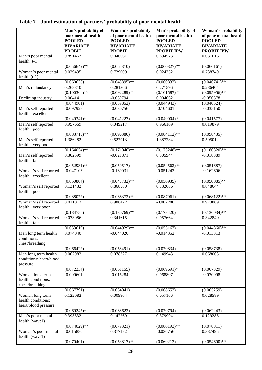|                                                               | Man's probability of | Woman's probability   | Man's probability of | Woman's probability   |
|---------------------------------------------------------------|----------------------|-----------------------|----------------------|-----------------------|
|                                                               | poor mental health   | of poor mental health | poor mental health   | of poor mental health |
|                                                               | <b>POOLED</b>        | <b>POOLED</b>         | <b>POOLED</b>        | <b>POOLED</b>         |
|                                                               | <b>BIVARIATE</b>     | <b>BIVARIATE</b>      | <b>BIVARIATE</b>     | <b>BIVARIATE</b>      |
|                                                               | <b>PROBIT</b>        | <b>PROBIT</b>         | <b>PROBIT IPW</b>    | <b>PROBIT IPW</b>     |
| Man's poor mental<br>health $(t-1)$                           | 0.891467             | 0.046661              | 0.894573             | 0.031616              |
|                                                               | $(0.056642)$ **      | (0.064310)            | $(0.060327)$ **      | (0.066161)            |
| Woman's poor mental<br>health $(t-1)$                         | 0.029435             | 0.729009              | 0.024352             | 0.738749              |
|                                                               | (0.060638)           | $(0.045895)$ **       | (0.060832)           | $(0.046741)$ **       |
| Man's redundancy                                              | 0.268810             | 0.281366              | 0.271596             | 0.286404              |
|                                                               | $(0.100366)$ **      | $(0.092289)*$         | $(0.101587)$ **      | $(0.095956)$ **       |
| Declining industry                                            | 0.004141             | $-0.030794$           | 0.004662             | $-0.050578$           |
|                                                               | (0.044901)           | (0.039852)            | (0.044943)           | (0.040524)            |
| Man's self reported<br>health: excellent                      | $-0.097925$          | $-0.030756$           | $-0.104601$          | $-0.035150$           |
|                                                               | $(0.049341)^*$       | (0.041227)            | $(0.049004)*$        | (0.041577)            |
| Man's self reported<br>health: poor                           | 0.957669             | 0.049217              | 0.966109             | 0.019879              |
|                                                               | $(0.083715)$ **      | (0.096380)            | $(0.084112)$ **      | (0.098435)            |
| Man's self reported<br>health: very poor                      | 1.386282             | 0.527913              | 1.387284             | 0.595012              |
|                                                               | $(0.164054)$ **      | $(0.171046)$ **       | $(0.173248)$ **      | $(0.180820)*$         |
| Man's self reported<br>health: fair                           | 0.302599             | $-0.021871$           | 0.305944             | $-0.018389$           |
|                                                               | $(0.052931)$ **      | (0.050517)            | $(0.054562)$ **      | (0.051687)            |
| Woman's self reported<br>health: excellent                    | $-0.047103$          | $-0.160031$           | $-0.051243$          | $-0.162606$           |
|                                                               | (0.050804)           | $(0.048732)$ **       | (0.050935)           | $(0.050085)$ **       |
| Woman's self reported<br>health: poor                         | 0.131432             | 0.868580              | 0.132686             | 0.848644              |
|                                                               | (0.088072)           | $(0.068372)$ **       | (0.087961)           | $(0.068122)$ **       |
| Woman's self reported<br>health: very poor                    | 0.011012             | 0.988472              | $-0.007286$          | 0.973809              |
|                                                               | (0.184756)           | $(0.130769)$ **       | (0.178420)           | $(0.136034)^{**}$     |
| Woman's self reported<br>health: fair                         | 0.073086             | 0.341615              | 0.057664             | 0.342840              |
|                                                               | (0.053619)           | $(0.044929)$ **       | (0.055167)           | $(0.044860)$ **       |
| Man long term health<br>conditions:<br>chest/breathing        | 0.074040             | $-0.044026$           | $-0.014352$          | $-0.013313$           |
|                                                               | (0.066422)           | (0.058491)            | (0.070834)           | (0.058738)            |
| Man long term health                                          | 0.062982             | 0.078327              | 0.149943             | 0.068003              |
| conditions: heart/blood<br>pressure                           |                      |                       |                      |                       |
|                                                               | (0.072234)           | (0.061155)            | $(0.069691)*$        | (0.067329)            |
| Woman long term<br>health conditions:<br>chest/breathing      | $-0.009601$          | $-0.016284$           | 0.068807             | $-0.070998$           |
|                                                               | (0.067791)           | (0.064041)            | (0.068653)           | (0.065259)            |
| Woman long term<br>health conditions:<br>heart/blood pressure | 0.122082             | 0.009964              | 0.057166             | 0.028589              |
|                                                               | $(0.069247) +$       | (0.068622)            | (0.070794)           | (0.062243)            |
| Man's poor mental                                             | 0.393832             | 0.142269              | 0.379994             | 0.129288              |
| health (wave1)                                                | $(0.074029)$ **      | $(0.079321) +$        | $(0.080193)$ **      | (0.078811)            |
| Woman's poor mental<br>health (wave1)                         | $-0.015880$          | 0.377172              | $-0.036756$          | 0.387495              |
|                                                               | (0.070401)           | $(0.053817)$ **       | (0.069213)           | $(0.054600)$ **       |

#### **Table 7 – Joint estimation of partners' probability of poor mental health**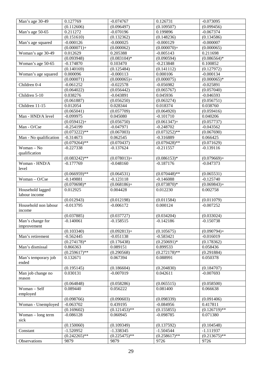| Man's age 30-49                   | 0.127769        | $-0.074767$     | 0.126731        | $-0.073095$     |
|-----------------------------------|-----------------|-----------------|-----------------|-----------------|
|                                   | (0.112606)      | (0.096497)      | (0.109507)      | (0.099456)      |
| Man's age 50-65                   | 0.211272        | $-0.070196$     | 0.199896        | $-0.067374$     |
|                                   | (0.151610)      | (0.132362)      | (0.148236)      | (0.134586)      |
| Man's age squared                 | $-0.000126$     | $-0.000025$     | $-0.000129$     | $-0.000007$     |
|                                   | $(0.000071) +$  | (0.000062)      | $(0.000070)+$   | (0.000065)      |
| Woman's age 30-49                 | 0.012629        | 0.205388        | $-0.005143$     | 0.211698        |
|                                   | (0.093948)      | $(0.083104)*$   | (0.090594)      | $(0.086564)*$   |
| Woman's age 50-65                 | $-0.174870$     | 0.103470        | $-0.213848$     | 0.100852        |
|                                   | (0.140169)      | (0.125484)      | (0.141112)      | (0.127972)      |
| Woman's age squared               | 0.000096        | $-0.000113$     | 0.000106        | $-0.000134$     |
|                                   | (0.000071)      | $(0.000065) +$  | (0.000075)      | $(0.000065)*$   |
| Children 0-4                      | $-0.061252$     | $-0.022578$     | $-0.056982$     | $-0.025891$     |
|                                   | (0.064022)      | (0.056442)      | (0.065767)      | (0.057040)      |
| Children 5-10                     | 0.038276        | $-0.043891$     | 0.045936        | $-0.046593$     |
|                                   | (0.061887)      | (0.056250)      | (0.063274)      | (0.056751)      |
| Children 11-15                    | 0.012054        | 0.028344        | 0.018374        | 0.038760        |
|                                   | (0.065041)      | (0.057709)      | (0.064920)      | (0.059416)      |
| Man - HND/A level                 | $-0.099975$     | 0.045080        | $-0.101710$     | 0.040206        |
|                                   | $(0.059412) +$  | (0.056750)      | $(0.061347) +$  | (0.057737)      |
| Man - O/Cse                       | $-0.254199$     | $-0.047971$     | $-0.248702$     | $-0.043562$     |
|                                   | $(0.073222)**$  | (0.067003)      | $(0.073252)**$  | (0.067690)      |
| Man - No qualification            | $-0.314673$     | 0.062545        | $-0.316889$     | 0.066425        |
|                                   | $(0.079264)$ ** | (0.070437)      | $(0.079428)$ ** | (0.071629)      |
| Woman - No                        | $-0.227338$     | $-0.137624$     | $-0.211557$     | $-0.139116$     |
| qualification                     |                 |                 |                 |                 |
|                                   | $(0.083242)$ ** | $(0.078013) +$  | $(0.086153)*$   | $(0.079669) +$  |
| Woman - HND/A                     | $-0.177769$     | $-0.048160$     | $-0.187176$     | $-0.047373$     |
| level                             |                 |                 |                 |                 |
|                                   | $(0.066959)**$  | (0.064531)      | $(0.070448)$ ** | (0.065531)      |
| Woman - O/Cse                     | $-0.149881$     | $-0.123118$     | $-0.146088$     | $-0.125740$     |
|                                   | $(0.070698)*$   | $(0.068186) +$  | $(0.073870)*$   | $(0.069843) +$  |
| Household lagged<br>labour income | 0.012925        | 0.004428        | 0.012230        | 0.002758        |
|                                   | (0.012943)      | (0.012198)      | (0.011584)      | (0.011079)      |
| Household non labour              | $-0.013795$     | $-0.006172$     | 0.000124        | $-0.007252$     |
| income                            |                 |                 |                 |                 |
|                                   | (0.037885)      | (0.037727)      | (0.034204)      | (0.033024)      |
| Man's change for                  | $-0.140061$     | $-0.158515$     | $-0.142186$     | $-0.150738$     |
| improvement                       |                 |                 |                 |                 |
|                                   | (0.103340)      | $(0.092813) +$  | (0.105675)      | $(0.090794) +$  |
| Man's retirement                  | $-0.562445$     | $-0.051138$     | $-0.583421$     | $-0.016019$     |
|                                   | $(0.274178)*$   | (0.176438)      | $(0.250691)^*$  | (0.178362)      |
| Man's dismissal                   | 0.866363        | 0.089151        | 0.899533        | 0.058436        |
|                                   | $(0.259617)$ ** | (0.290568)      | $(0.272178)$ ** | (0.291884)      |
| Man's temporary job               | 0.132671        | 0.067394        | 0.088991        | 0.050378        |
| ended                             |                 |                 |                 |                 |
|                                   | (0.195145)      | (0.186604)      | (0.204830)      | (0.184707)      |
| Man job change no                 | 0.030131        | $-0.007019$     | 0.042611        | $-0.007693$     |
| reason                            |                 |                 |                 |                 |
|                                   | (0.064848)      | (0.058286)      | (0.065515)      | (0.058500)      |
| Woman - Self                      | 0.089440        | 0.056222        | 0.081400        | 0.066638        |
| employed                          |                 |                 |                 |                 |
|                                   | (0.098766)      | (0.090603)      | (0.098339)      | (0.091406)      |
| Woman - Unemployed                | $-0.063702$     | 0.439195        | $-0.084956$     | 0.417811        |
|                                   | (0.169602)      | $(0.121453)$ ** | (0.155855)      | $(0.126719)$ ** |
| Woman - long term                 | $-0.086128$     | 0.060945        | $-0.098785$     | 0.071380        |
| sick                              |                 |                 |                 |                 |
|                                   | (0.150060)      | (0.109349)      | (0.137592)      | (0.104548)      |
| Constant                          | $-1.520952$     | $-1.338345$     | $-1.504544$     | $-1.111937$     |
|                                   | $(0.242265)$ ** | $(0.225475)$ ** | $(0.258617)$ ** | $(0.213675)$ ** |
| Observations                      | 9879            | 9879            | 9726            | 9726            |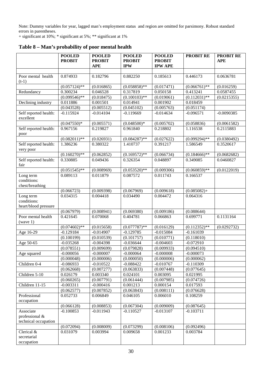Note: Dummy variables for year, lagged man's employment status and region are omitted for parsimony. Robust standard errors in parentheses.

+ significant at 10%; \* significant at 5%; \*\* significant at 1%

|                                                     | <b>POOLED</b><br><b>PROBIT</b> | <b>POOLED</b><br><b>PROBIT</b><br><b>APE</b> | <b>POOLED</b><br><b>PROBIT</b><br><b>IPW</b> | <b>POOLED</b><br><b>PROBIT</b><br><b>IPW APE</b> | <b>PROBIT RE</b>       | <b>PROBIT RE</b><br><b>APE</b> |
|-----------------------------------------------------|--------------------------------|----------------------------------------------|----------------------------------------------|--------------------------------------------------|------------------------|--------------------------------|
|                                                     |                                |                                              |                                              |                                                  |                        |                                |
| Poor mental health<br>$(t-1)$                       | 0.874933                       | 0.182796                                     | 0.882250                                     | 0.185613                                         | 0.446173               | 0.0636781                      |
|                                                     | $(0.057124)$ **                | (0.016865)                                   | $(0.058858)$ **                              | (0.017471)                                       | $(0.066761)$ **        | (0.016259)                     |
| Redundancy                                          | 0.300234                       | 0.046528                                     | 0.317819                                     | 0.050158                                         | 0.413241               | 0.0587455                      |
|                                                     | $(0.099546)$ **                | (0.018475)                                   | $(0.100103)$ **                              | (0.019061)                                       | $(0.112031)$ **        | (0.0215355)                    |
| Declining industry                                  | 0.011886                       | 0.001501                                     | 0.014941                                     | 0.001902                                         | 0.018459               |                                |
|                                                     | (0.043528)                     | (0.005512)                                   | (0.045102)                                   | (0.005763)                                       | (0.051174)             |                                |
| Self reported health:<br>excellent                  | $-0.115924$                    | $-0.014104$                                  | $-0.119669$                                  | $-0.014634$                                      | $-0.096571$            | $-0.0090385$                   |
|                                                     | $(0.047550)*$                  | (0.005571)                                   | $(0.048500)*$                                | (0.005702)                                       | (0.058836)             | (0.0061582)                    |
| Self reported health:<br>poor                       | 0.967156                       | 0.219827                                     | 0.961840                                     | 0.218802                                         | 1.116538               | 0.2115883                      |
|                                                     | $(0.082011)$ **                | (0.026931)                                   | $(0.084287)$ **                              | (0.027622)                                       | $(0.099294)$ **        | (0.0380492)                    |
| Self reported health:<br>very poor                  | 1.386236                       | 0.380322                                     | 1.410737                                     | 0.391217                                         | 1.586549               | 0.3520617                      |
|                                                     | $(0.160270)$ **                | (0.062852)                                   | $(0.169\overline{572})$ **                   | (0.066734)                                       | $(0.184666)*$          | (0.0682682)                    |
| Self reported health:<br>fair                       | 0.330885                       | 0.049436                                     | 0.326354                                     | 0.048897                                         | 0.349085               | 0.0460827                      |
|                                                     | $(0.051545)$ **                | (0.008969)                                   | $(0.053520)**$                               | (0.009306)                                       | $(0.060859)$ **        | (0.0122019)                    |
| Long term<br>conditions:<br>chest/breathing         | 0.089113                       | 0.011879                                     | 0.087572                                     | 0.011743                                         | 0.166537               |                                |
|                                                     | (0.066723)                     | (0.009398)                                   | (0.067969)                                   | (0.009618)                                       | $(0.085082) +$         |                                |
| Long term                                           | 0.034315                       | 0.004418                                     | 0.034490                                     | 0.004472                                         | 0.064316               |                                |
| conditions:<br>heart/blood pressure                 |                                |                                              |                                              |                                                  |                        |                                |
|                                                     | (0.067979)                     | (0.008941)                                   | (0.069380)                                   | (0.009186)                                       | (0.088644)             |                                |
| Poor mental health<br>(wave 1)                      | 0.421645                       | 0.070068                                     | 0.404781                                     | 0.066863                                         | 0.699771               | 0.1131164                      |
|                                                     | $(0.074602)$ **                | (0.015658)                                   | $(0.077787)$ **                              | (0.016129)                                       | $(0.112352)$ **        | (0.0292732)                    |
| Age 16-29                                           | $-0.129184$                    | $-0.014907$                                  | $-0.129785$                                  | $-0.015084$                                      | $-0.161039$            |                                |
|                                                     | (0.100199)                     | (0.010539)                                   | (0.101757)                                   | (0.010771)                                       | (0.118010)             |                                |
| Age 50-65                                           | $-0.035268$                    | $-0.004398$                                  | $-0.036644$                                  | $-0.004603$                                      | $-0.072910$            |                                |
|                                                     | (0.078551)                     | (0.009699)                                   | (0.079828)                                   | (0.009933)                                       | (0.094510)             |                                |
| Age squared                                         | $-0.000056$                    | $-0.000007$                                  | $-0.000064$                                  | $-0.000008$                                      | $-0.000073$            |                                |
|                                                     | (0.000048)                     | (0.000006)                                   | (0.000050)                                   | (0.000006)                                       | (0.000062)             |                                |
| Children 0-4                                        | $-0.086933$                    | $-0.010522$<br>(0.007277)                    | $-0.088422$                                  | $-0.010767$                                      | $-0.110309$            |                                |
| Children 5-10                                       | (0.062668)<br>0.026179         | 0.003340                                     | (0.063833)<br>0.024101                       | (0.007448)<br>0.003095                           | (0.077645)<br>0.021995 |                                |
|                                                     | (0.060265)                     | (0.007791)                                   | (0.061444)                                   | (0.007985)                                       | (0.074726)             |                                |
| Children 11-15                                      | $-0.003311$                    | $-0.000416$                                  | 0.001213                                     | 0.000154                                         | 0.017593               |                                |
|                                                     | (0.062577)                     | (0.007852)                                   | (0.063843)                                   | (0.008111)                                       | (0.076628)             |                                |
| Professional<br>occupation                          | 0.052733                       | 0.006849                                     | 0.046105                                     | 0.006010                                         | 0.108259               |                                |
|                                                     | (0.066128)                     | (0.008853)                                   | (0.067304)                                   | (0.009009)                                       | (0.087645)             |                                |
| Associate<br>professional &<br>technical occupation | $-0.100853$                    | $-0.011943$                                  | $-0.110527$                                  | $-0.013107$                                      | $-0.103711$            |                                |
|                                                     | (0.072094)                     | (0.008009)                                   | (0.073299)                                   | (0.008106)                                       | (0.092496)             |                                |
| Clerical &<br>secretarial<br>occupation             | 0.031079                       | 0.003994                                     | 0.009658                                     | 0.001233                                         | 0.003784               |                                |

**Table 8 – Man's probability of poor mental health**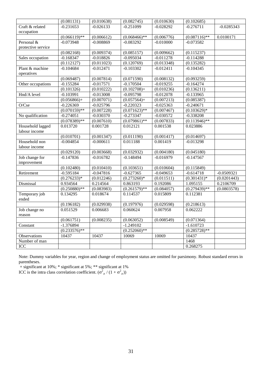|                    | (0.081131)      | (0.010638)  | (0.082745)      | (0.010630)  | (0.102685)      |              |
|--------------------|-----------------|-------------|-----------------|-------------|-----------------|--------------|
| Craft & related    | $-0.231653$     | $-0.026133$ | $-0.251099$     | $-0.028292$ | $-0.276711$     | $-0.0285343$ |
| occupation         |                 |             |                 |             |                 |              |
|                    | $(0.066119)$ ** | (0.006612)  | $(0.068466)$ ** | (0.006776)  | $(0.087116)$ ** | 0.0100171    |
| Personal &         | $-0.073948$     | $-0.008869$ | $-0.083292$     | $-0.010000$ | $-0.073582$     |              |
| protective service |                 |             |                 |             |                 |              |
|                    | (0.082168)      | (0.009374)  | (0.085157)      | (0.009662)  | (0.115237)      |              |
| Sales occupation   | $-0.168347$     | $-0.018826$ | $-0.095034$     | $-0.011278$ | $-0.114288$     |              |
|                    | (0.112127)      | (0.011023)  | (0.120769)      | (0.013348)  | (0.135282)      |              |
| Plant & machine    | $-0.104684$     | $-0.012471$ | $-0.103302$     | $-0.012411$ | $-0.104345$     |              |
| operatives         |                 |             |                 |             |                 |              |
|                    | (0.069487)      | (0.007814)  | (0.071590)      | (0.008132)  | (0.093259)      |              |
| Other occupations  | $-0.155284$     | $-0.017571$ | $-0.170504$     | $-0.019255$ | $-0.164274$     |              |
|                    | (0.101326)      | (0.010222)  | $(0.102708) +$  | (0.010236)  | (0.136211)      |              |
| Hnd/A level        | $-0.103991$     | $-0.013008$ | $-0.095798$     | $-0.012078$ | $-0.133965$     |              |
|                    | $(0.056866)+$   | (0.007071)  | $(0.057564) +$  | (0.007213)  | (0.085387)      |              |
| O/Cse              | $-0.226369$     | $-0.025796$ | $-0.220323$     | $-0.025363$ | $-0.240671$     |              |
|                    | $(0.070159)$ ** | (0.007228)  | $(0.071623)$ ** | (0.007467)  | $(0.103629)*$   |              |
| No qualification   | $-0.274051$     | $-0.030370$ | $-0.273347$     | $-0.030572$ | $-0.338208$     |              |
|                    | $(0.078389)$ ** | (0.007610)  | $(0.079861)$ ** | (0.007833)  | $(0.113946)$ ** |              |
| Household lagged   | 0.013720        | 0.001728    | 0.012121        | 0.001538    | 0.023886        |              |
| labour income      |                 |             |                 |             |                 |              |
|                    | (0.010701)      | (0.001347)  | (0.011190)      | (0.001417)  | (0.014697)      |              |
| Household non      | $-0.004854$     | $-0.000611$ | 0.011188        | 0.001419    | $-0.013298$     |              |
| labour income      |                 |             |                 |             |                 |              |
|                    | (0.029120)      | (0.003668)  | (0.032932)      | (0.004180)  | (0.045180)      |              |
| Job change for     | $-0.147836$     | $-0.016782$ | $-0.148494$     | $-0.016979$ | $-0.147567$     |              |
| improvement        |                 |             |                 |             |                 |              |
|                    | (0.102480)      | (0.010410)  | (0.103651)      | (0.010604)  | (0.115849)      |              |
| Retirement         | $-0.595184$     | $-0.047816$ | $-0.627365$     | $-0.049653$ | $-0.614718$     | $-0.0509321$ |
|                    | $(0.276233)*$   | (0.012246)  | $(0.273260)*$   | (0.011511)  | $(0.301431)*$   | (0.0201443)  |
| Dismissal          | 0.934564        | 0.214564    | 0.863193        | 0.192086    | 1.095155        | 0.2106709    |
|                    | $(0.250880)$ ** | (0.083983)  | $(0.261579)$ ** | (0.084057)  | $(0.279439)**$  | (0.0803578)  |
| Temporary job      | 0.134295        | 0.018674    | 0.114537        | 0.015809    | 0.112381        |              |
| ended              |                 |             |                 |             |                 |              |
|                    | (0.196182)      | (0.029938)  | (0.197976)      | (0.029598)  | (0.218613)      |              |
| Job change no      | 0.051529        | 0.006683    | 0.060624        | 0.007958    | 0.062222        |              |
| reason             |                 |             |                 |             |                 |              |
|                    | (0.061751)      | (0.008235)  | (0.063052)      | (0.008549)  | (0.071364)      |              |
| Constant           | $-1.376894$     |             | $-1.249102$     |             | $-1.610723$     |              |
|                    | $(0.233576)$ ** |             | $(0.252060)$ ** |             | $(0.285728)$ ** |              |
| Observations       | 10437           | 10437       | 10069           | 10069       | 10437           |              |
| Number of man      |                 |             |                 |             | 1468            |              |
| ICC                |                 |             |                 |             | 0.268275        |              |

Note: Dummy variables for year, region and change of employment status are omitted for parsimony. Robust standard errors in parentheses.

+ significant at 10%; \* significant at 5%; \*\* significant at 1% ICC is the intra class correlation coefficient.  $(\sigma_{\mu}^2/(1+\sigma_{\mu}^2))$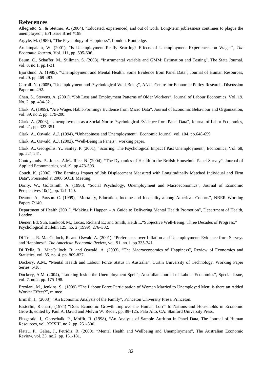#### **References**

Allegretto, S., & Stettner, A. (2004), "Educated, experienced, and out of work. Long-term joblessness continues to plague the unemployed", EPI Issue Brief #198

Argyle, M. (1989), "The Psychology of Happiness", London. Routledge.

Arulampalam, W. (2001), "Is Unemployment Really Scarring? Effects of Unemployment Experiences on Wages", *The Economic Journal*, Vol. 111, pp. 595-606.

Baum. C.. Schaffer. M.. Stillman. S. (2003), "Instrumental variable and GMM: Estimation and Testing", The Stata Journal. vol. 3. no.1. pp.1-31.

Bjorklund. A. (1985), "Unemployment and Mental Health: Some Evidence from Panel Data", Journal of Human Resources, vol.20. pp.469-483.

Carroll. N. (2005), "Unemployment and Psychological Well-Being", ANU- Centre for Economic Policy Research. Discussion Paper no. 492.

Chan. S.. Stevens. A. (2001), "Job Loss and Employment Patterns of Older Workers", Journal of Labour Economics*,* Vol. 19. No. 2. pp. 484-521.

Clark. A. (1999), "Are Wages Habit-Forming? Evidence from Micro Data", Journal of Economic Behaviour and Organization, vol. 39. no.2, pp. 179-200.

Clark. A. (2003), "Unemployment as a Social Norm: Psychological Evidence from Panel Data", Journal of Labor Economics, vol. 21, pp. 323-351.

Clark. A.. Oswald. A.J. (1994), "Unhappiness and Unemployment", Economic Journal, vol. 104, pp.648-659.

Clark. A.. Oswald. A.J. (2002), "Well-Being in Panels", working paper.

Clark. A.. Georgellis. Y.. Sanfey. P. (2001), "Scarring: The Psychological Impact f Past Unemployment", Economica, Vol. 68, pp. 221-241.

Contoyannis. P.. Jones. A.M.. Rice. N. (2004), "The Dynamics of Health in the British Household Panel Survey", Journal of Applied Econometrics, vol.19, pp.473-503.

Couch. K. (2006), "The Earnings Impact of Job Displacement Measured with Longitudinally Matched Individual and Firm Data", Presented at 2006 SOLE Meeting.

Darity. W., Goldsmith. A. (1996), "Social Psychology, Unemployment and Macroeconomics", Journal of Economic Perspectives 10(1), pp. 121-140.

Deaton. A., Paxson. C. (1999), "Mortality, Education, Income and Inequality among American Cohorts", NBER Working Papers 7/140.

Department of Health (2001), "Making It Happen – A Guide to Delivering Mental Health Promotion", Department of Health, London.

Diener, Ed; Suh, Eunkook M.; Lucas, Richard E.; and Smith, Heidi L."Subjective Well-Being: Three Decades of Progress." Psychological Bulletin 125, no. 2 (1999): 276–302.

Di Tella, R. MacCulloch, R. and Oswald A. (2001). "Preferences over Inflation and Unemployment: Evidence from Surveys and Happiness", *The American Economic Review,* vol. 91. no.1. pp.335-341.

Di Tella, R.. MacCulloch, R. and Oswald, A. (2003), "The Macroeconomics of Happiness", Review of Economics and Statistics, vol. 85. no. 4. pp. 809-827.

Dockery, A.M., "Mental Health and Labour Force Status in Australia", Curtin University of Technology, Working Paper Series, 5/18.

Dockery, A.M. (2004), "Looking Inside the Unemployment Spell", Australian Journal of Labour Economics", Special Issue, vol. 7. no.2. pp. 175-198.

Ercolani, M., Jenkins, S., (1999) "The Labour Force Participation of Women Married to Unemployed Men: is there an Added Worker Effect?", mimeo.

Ermish, J., (2003), "An Economic Analysis of the Family", Princeton University Press. Princeton.

Easterlin, Richard, (1974) "Does Economic Growth Improve the Human Lot?" In Nations and Households in Economic Growth, edited by Paul A. David and Melvin W. Reder, pp. 89–125. Palo Alto, CA: Stanford University Press.

Fitzgerald, J,, Gottschalk, P., Moffit, R. (1998), "An Analysis of Sample Attrition in Panel Data, The Journal of Human Resources, vol. XXXIII. no.2. pp. 251-300.

Flatau, P.. Galea, J., Petridis, R. (2000), "Mental Health and Wellbeing and Unemployment", The Australian Economic Review, vol. 33. no.2. pp. 161-181.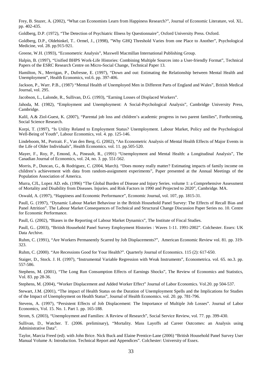Frey, B. Stuzer, A. (2002), "What can Economists Learn from Happiness Research?", Journal of Economic Literature, vol. XL. pp. 402-435.

Goldberg, D.P. (1972), "The Detection of Psychiatric Illness by Questionnaire", Oxford University Press. Oxford.

Goldberg, D.P., Oldehinkel, T.. Ormel, J., (1998), "Why GHQ Threshold Varies from one Place to Another", Psychological Medicine, vol. 28. pp.915-921.

Greene, W.H. (1993), "Econometric Analysis", Maxwell Macmillan International Publishing Group.

Halpin, B. (1997), "Unified BHPS Work-Life Histories: Combining Multiple Sources into a User-friendly Format", Technical Papers of the ESRC Research Centre on Micro-Social Change, Technical Paper 13.

Hamilton, N., Merrigan, P., Dufresne, E. (1997), "Down and out: Estimating the Relationship between Mental Health and Unemployment", Health Economics, vol.6. pp. 397-406.

Jackson, P., Warr. P.B., (1987) "Mental Health of Unemployed Men in Different Parts of England and Wales", British Medical Journal, vol. 295.

Jacobson, L., Lalonde, R., Sullivan, D.G. (1993), "Earning Losses of Displaced Workers".

Jahoda, M. (1982), "Employment and Unemployment: A Social-Psychological Analysis", Cambridge University Press, Cambridge.

Kalil, A.& Ziol-Guest, K. (2007), "Parental job loss and children's academic progress in two parent families", Forthcoming, Social Science Research.

Korpi, T. (1997), "Is Utility Related to Employment Status? Unemployment. Labour Market, Policy and the Psychological Well-Being of Youth", Labour Economics, vol. 4. pp. 125-146.

Lindeboom, M., Portrait. F., Van den Berg, G. (2002), "An Econometric Analysis of Mental Health Effects of Major Events in the Life of Older Individuals", Health Economics. vol. 11. pp.505-520.

Mayer, F., Roy, P., Emond, A., Pineault, R., (1991) "Unemployment and Mental Health: a Longitudinal Analysis", The Canadian Journal of Economics, vol. 24, no. 3. pp. 551-562.

Morris, P., Duncan, G., & Rodriguez, C. (2004, March). "Does money really matter? Estimating impacts of family income on children's achievement with data from random-assignment experiments", Paper presented at the Annual Meetings of the Population Association of America.

Murra, CJL, Lopez AD. eds. (1996) "The Global Burden of Disease and Injury Series. volume 1: a Comprehensive Assessment of Mortality and Disability from Diseases. Injuries. and Risk Factors in 1990 and Projected to 2020", Cambridge. MA.

Oswald, A. (1997), "Happiness and Economic Performance", Economic Journal, vol. 107, pp. 1815-31.

Paull, G. (1997), "Dynamic Labour Market Behaviour in the British Household Panel Survey: The Effects of Recall Bias and Panel Attrition". The Labour Market Consequences of Technical and Structural Change Discussion Paper Series no. 10. Centre for Economic Performance.

Paull, G. (2002), "Biases in the Reporting of Labour Market Dynamics", The Institute of Fiscal Studies.

Paull, G.. (2003), "British Household Panel Survey Employment Histories : Waves 1-11. 1991-2002". Colchester. Essex: UK Data Archive.

Ruhm, C. (1991), "Are Workers Permanently Scarred by Job Displacements?", American Economic Review vol. 81. pp. 319- 323.

Ruhm, C. (2000). "Are Recessions Good for Your Health?". Quarterly Journal of Economics. 115 (2): 617-650.

Staiger, D., Stock. J. H. (1997), "Instrumental Variable Regression with Weak Instruments", Econometrica. vol. 65. no.3. pp. 557-586.

Stephens, M. (2001), "The Long Run Consumption Effects of Earnings Shocks", The Review of Economics and Statistics, Vol. 83. pp 28-36.

Stephens, M. (2004), "Worker Displacement and Added Worker Effect" Journal of Labor Economics*.* Vol.20. pp 504-537.

Stewart, J.M. (2001), "The impact of Health Status on the Duration of Unemployment Spells and the Implications for Studies of the Impact of Unemployment on Health Status", Journal of Health Economics. vol. 20. pp. 781-796.

Stevens, A. (1997), "Persistent Effects of Job Displacement: The Importance of Multiple Job Losses". Journal of Labor Economics, Vol. 15. No. 1. Part 1. pp. 165-188.

Strom, S. (2003), "Unemployment and Families: A Review of Research", Social Service Review, vol. 77. pp. 399-430.

Sullivan, D., Watcher. T. (2006. preliminary), "Mortality. Mass Layoffs ad Career Outcomes: an Analysis using Administrative Data".

Taylor, Marcia Freed (ed). with John Brice. Nick Buck and Elaine Prentice-Lane (2006) "British Household Panel Survey User Manual Volume A: Introduction. Technical Report and Appendices". Colchester: University of Essex.